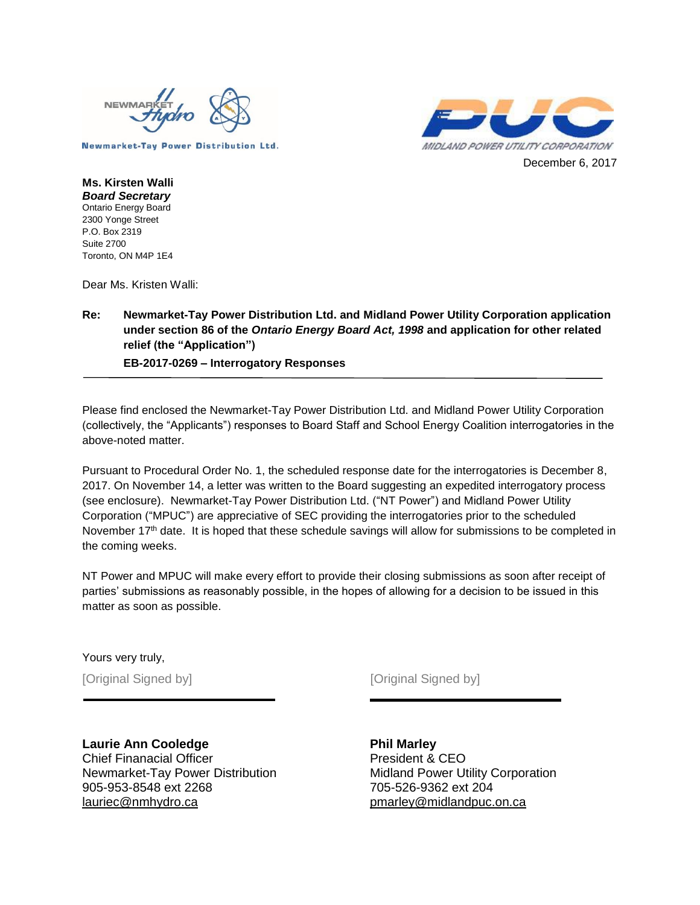



**Ms. Kirsten Walli** *Board Secretary* Ontario Energy Board 2300 Yonge Street P.O. Box 2319 Suite 2700 Toronto, ON M4P 1E4

Dear Ms. Kristen Walli:

#### **Re: Newmarket-Tay Power Distribution Ltd. and Midland Power Utility Corporation application under section 86 of the** *Ontario Energy Board Act, 1998* **and application for other related relief (the "Application")**

**EB-2017-0269 – Interrogatory Responses** 

Please find enclosed the Newmarket-Tay Power Distribution Ltd. and Midland Power Utility Corporation (collectively, the "Applicants") responses to Board Staff and School Energy Coalition interrogatories in the above-noted matter.

Pursuant to Procedural Order No. 1, the scheduled response date for the interrogatories is December 8, 2017. On November 14, a letter was written to the Board suggesting an expedited interrogatory process (see enclosure). Newmarket-Tay Power Distribution Ltd. ("NT Power") and Midland Power Utility Corporation ("MPUC") are appreciative of SEC providing the interrogatories prior to the scheduled November 17<sup>th</sup> date. It is hoped that these schedule savings will allow for submissions to be completed in the coming weeks.

NT Power and MPUC will make every effort to provide their closing submissions as soon after receipt of parties' submissions as reasonably possible, in the hopes of allowing for a decision to be issued in this matter as soon as possible.

Yours very truly,

[Original Signed by] [Original Signed by]

**Laurie Ann Cooledge** Chief Finanacial Officer Newmarket-Tay Power Distribution 905-953-8548 ext 2268 lauriec@nmhydro.ca

**Phil Marley** President & CEO Midland Power Utility Corporation 705-526-9362 ext 204 pmarley@midlandpuc.on.ca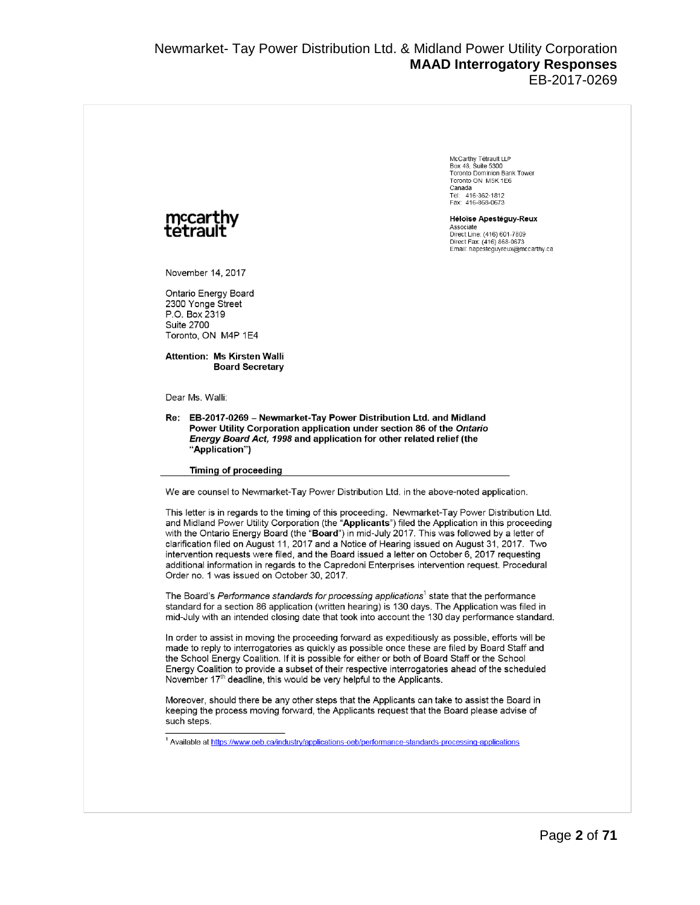McCarthy Tétrault I LP Box 48, Suite 5300<br>Toronto Dominion Bank Tower Toronto ON M5K 1E6 .u.u.u<br>Canada Canada<br>Tel: 416-362-1812<br>Fax: 416-868-0673 Héloïse Apestéguy-Reux Associate<br>Direct Line: (416) 601-7809 Direct Fax: (416) 868-0673 Email: hapestequyreux@mccarthy.ca

November 14, 2017

Ontario Energy Board 2300 Yonge Street P.O. Box 2319 Suite 2700 Toronto, ON M4P 1E4

**Attention: Ms Kirsten Walli Board Secretary** 

Dear Ms. Walli:

Re: EB-2017-0269 - Newmarket-Tay Power Distribution Ltd. and Midland Power Utility Corporation application under section 86 of the Ontario Energy Board Act, 1998 and application for other related relief (the "Application")

#### **Timing of proceeding**

We are counsel to Newmarket-Tay Power Distribution Ltd. in the above-noted application.

This letter is in regards to the timing of this proceeding. Newmarket-Tay Power Distribution Ltd. and Midland Power Utility Corporation (the "Applicants") filed the Application in this proceeding with the Ontario Energy Board (the "Board") in mid-July 2017. This was followed by a letter of clarification filed on August 11, 2017 and a Notice of Hearing issued on August 31, 2017. Two intervention requests were filed, and the Board issued a letter on October 6, 2017 requesting additional information in regards to the Capredoni Enterprises intervention reguest. Procedural Order no. 1 was issued on October 30, 2017.

The Board's Performance standards for processing applications<sup>1</sup> state that the performance standard for a section 86 application (written hearing) is 130 days. The Application was filed in mid-July with an intended closing date that took into account the 130 day performance standard.

In order to assist in moving the proceeding forward as expeditiously as possible, efforts will be made to reply to interrogatories as quickly as possible once these are filed by Board Staff and the School Energy Coalition. If it is possible for either or both of Board Staff or the School Energy Coalition to provide a subset of their respective interrogatories ahead of the scheduled November 17<sup>th</sup> deadline, this would be very helpful to the Applicants.

Moreover, should there be any other steps that the Applicants can take to assist the Board in keeping the process moving forward, the Applicants request that the Board please advise of such steps.

<sup>&</sup>lt;sup>1</sup> Available at <u>https://www.oeb.ca/industry/applications-oeb/performance-standards-processing-applications</u>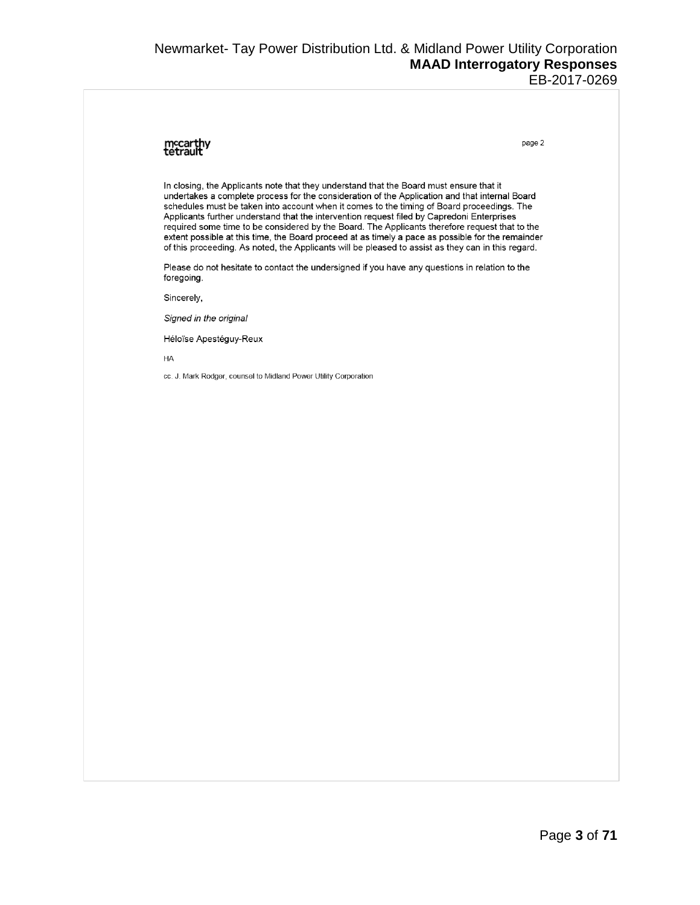#### Newmarket- Tay Power Distribution Ltd. & Midland Power Utility Corporation **MAAD Interrogatory Responses** EB-2017-0269

## mccarthy<br>tetrault

page 2

In closing, the Applicants note that they understand that the Board must ensure that it undertakes a complete process for the consideration of the Application and that internal Board schedules must be taken into account when it comes to the timing of Board proceedings. The Applicants further understand that the intervention request filed by Capredoni Enterprises required some time to be considered by the Board. The Applicants therefore request that to the extent possible at this time, the Board proceed at as timely a pace as possible for the remainder of this proceeding. As noted, the Applicants will be pleased to assist as they can in this regard.

Please do not hesitate to contact the undersigned if you have any questions in relation to the foregoing.

Sincerely,

Signed in the original

Héloïse Apestéguy-Reux

HA

cc. J. Mark Rodger, counsel to Midland Power Utility Corporation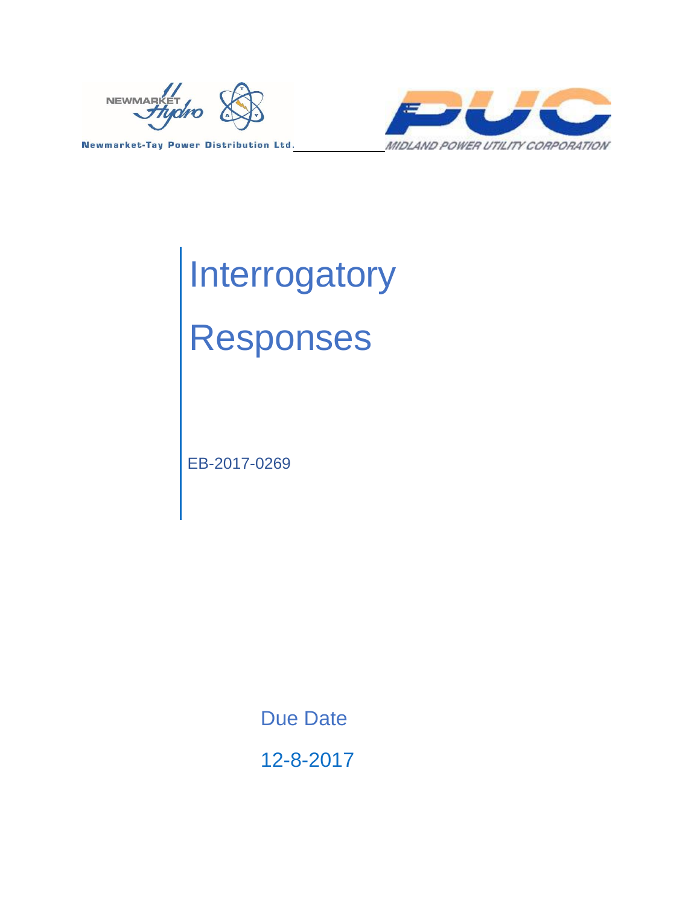



# **Interrogatory** Responses

EB-2017-0269

Due Date

12-8-2017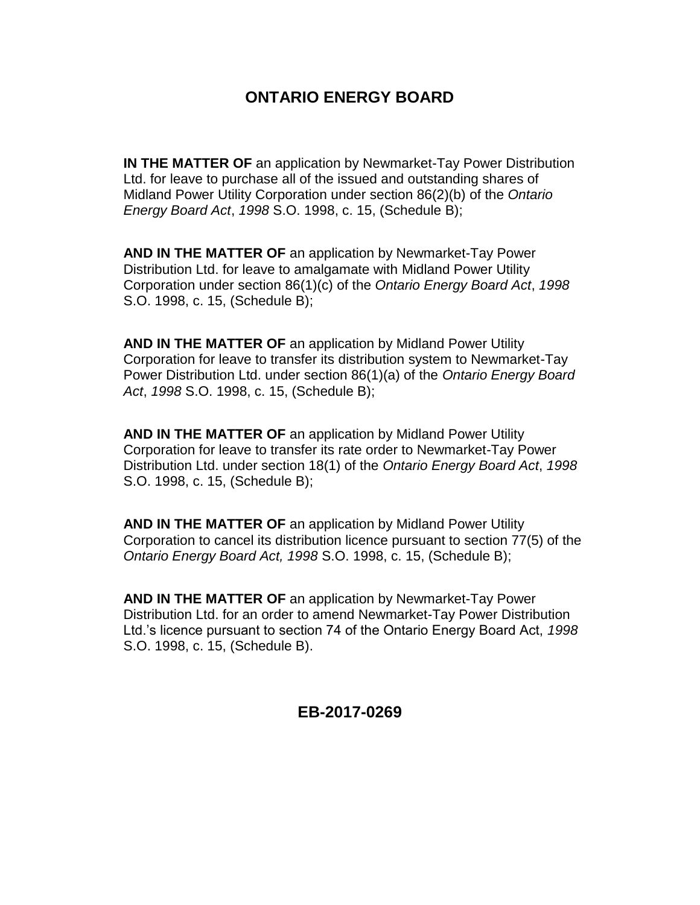## **ONTARIO ENERGY BOARD**

**IN THE MATTER OF** an application by Newmarket-Tay Power Distribution Ltd. for leave to purchase all of the issued and outstanding shares of Midland Power Utility Corporation under section 86(2)(b) of the *Ontario Energy Board Act*, *1998* S.O. 1998, c. 15, (Schedule B);

**AND IN THE MATTER OF** an application by Newmarket-Tay Power Distribution Ltd. for leave to amalgamate with Midland Power Utility Corporation under section 86(1)(c) of the *Ontario Energy Board Act*, *1998* S.O. 1998, c. 15, (Schedule B);

**AND IN THE MATTER OF** an application by Midland Power Utility Corporation for leave to transfer its distribution system to Newmarket-Tay Power Distribution Ltd. under section 86(1)(a) of the *Ontario Energy Board Act*, *1998* S.O. 1998, c. 15, (Schedule B);

**AND IN THE MATTER OF** an application by Midland Power Utility Corporation for leave to transfer its rate order to Newmarket-Tay Power Distribution Ltd. under section 18(1) of the *Ontario Energy Board Act*, *1998* S.O. 1998, c. 15, (Schedule B);

**AND IN THE MATTER OF** an application by Midland Power Utility Corporation to cancel its distribution licence pursuant to section 77(5) of the *Ontario Energy Board Act, 1998* S.O. 1998, c. 15, (Schedule B);

**AND IN THE MATTER OF** an application by Newmarket-Tay Power Distribution Ltd. for an order to amend Newmarket-Tay Power Distribution Ltd.'s licence pursuant to section 74 of the Ontario Energy Board Act, *1998* S.O. 1998, c. 15, (Schedule B).

## **EB-2017-0269**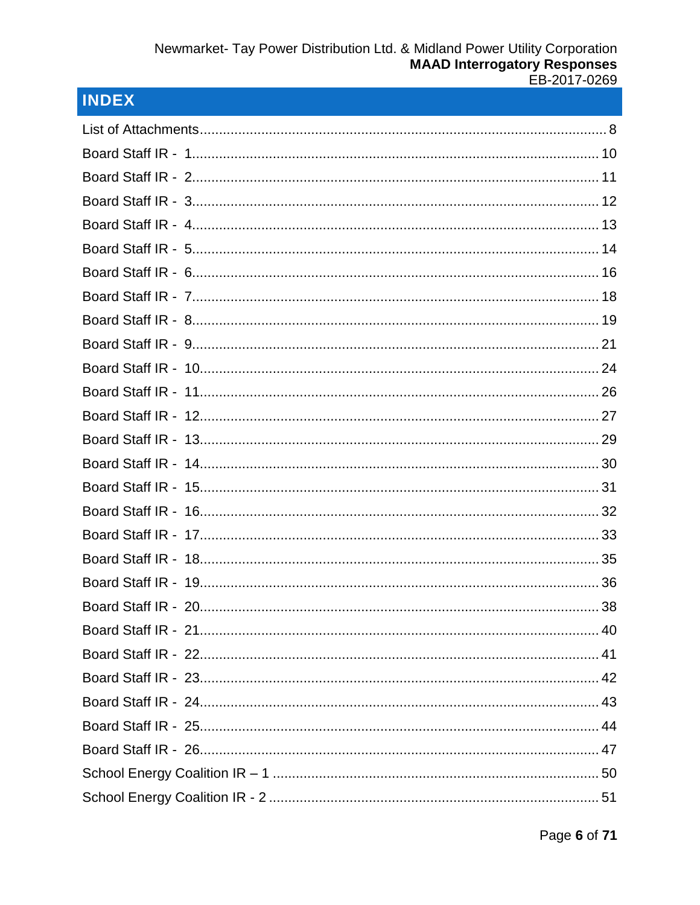## **INDEX**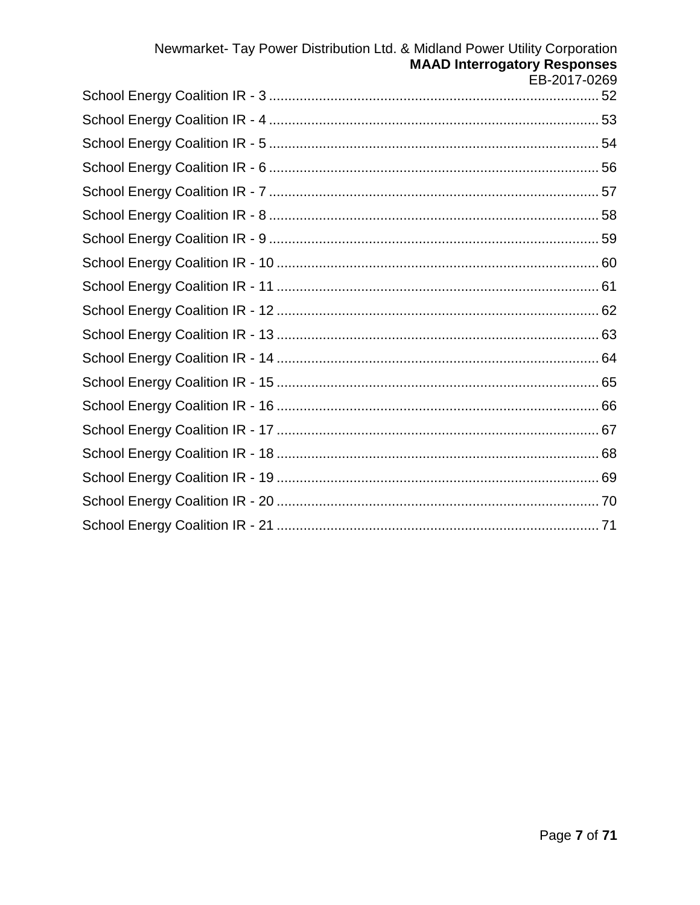## Newmarket- Tay Power Distribution Ltd. & Midland Power Utility Corporation **MAAD Interrogatory Responses** EB-2017-0269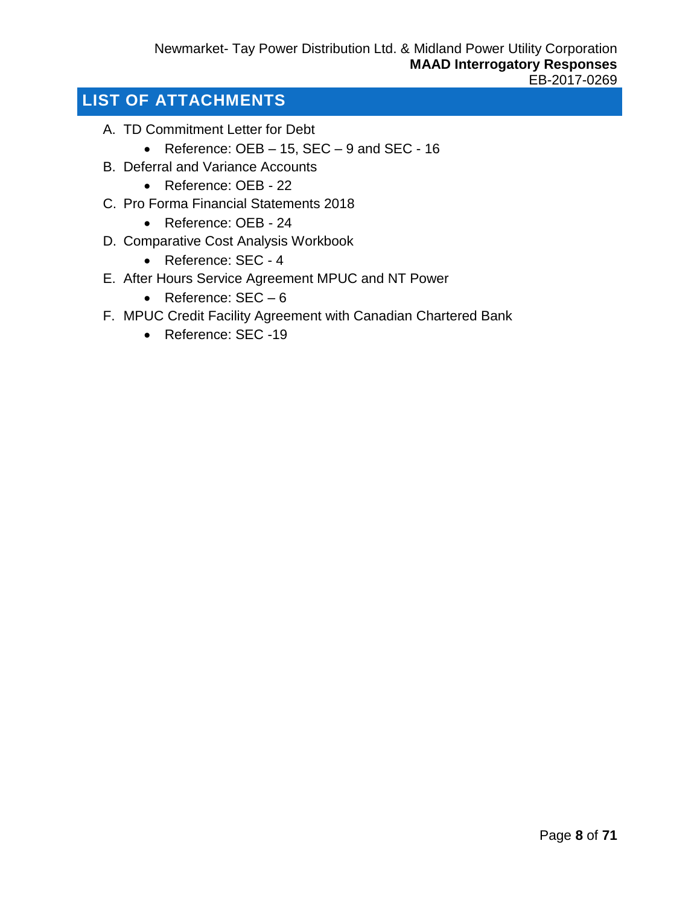## <span id="page-7-0"></span>**LIST OF ATTACHMENTS**

- A. TD Commitment Letter for Debt
	- Reference:  $OEB 15$ ,  $SEC 9$  and  $SEC 16$
- B. Deferral and Variance Accounts
	- Reference: OEB 22
- C. Pro Forma Financial Statements 2018
	- Reference: OEB 24
- D. Comparative Cost Analysis Workbook
	- Reference: SEC 4
- E. After Hours Service Agreement MPUC and NT Power
	- Reference: SEC 6
- F. MPUC Credit Facility Agreement with Canadian Chartered Bank
	- Reference: SEC -19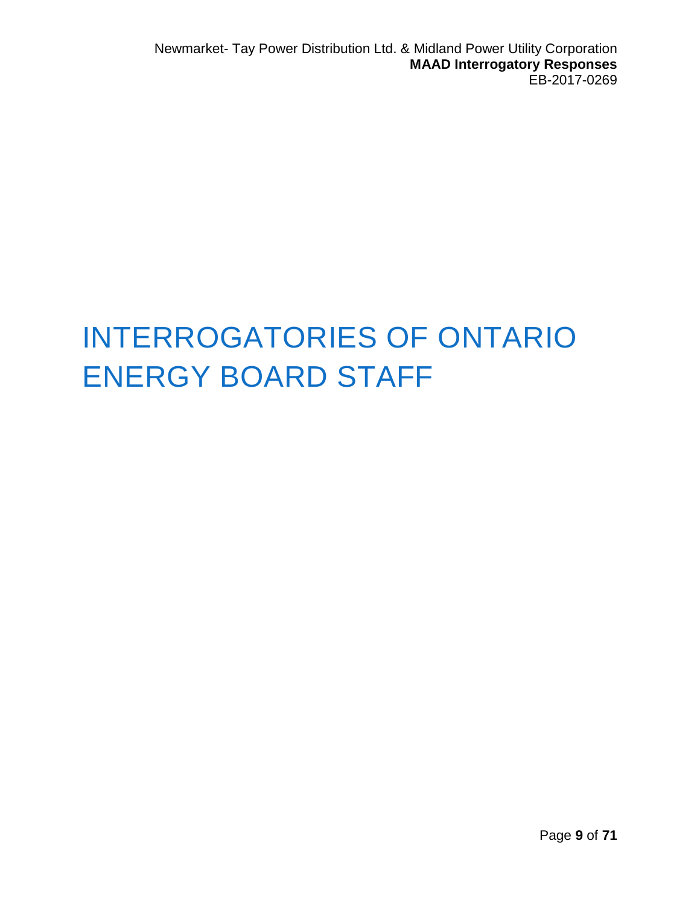## INTERROGATORIES OF ONTARIO ENERGY BOARD STAFF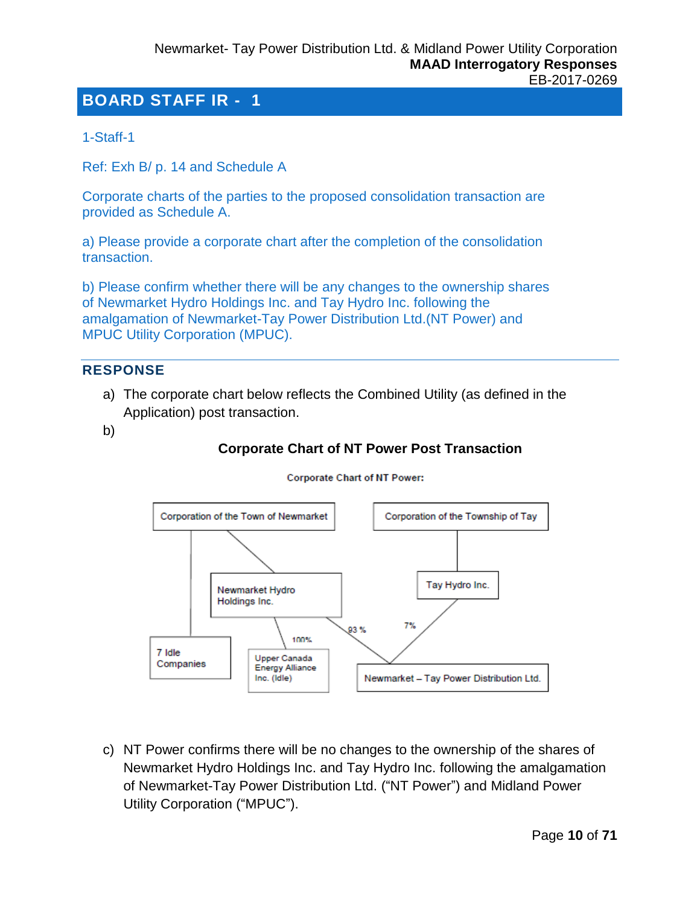<span id="page-9-0"></span>1-Staff-1

Ref: Exh B/ p. 14 and Schedule A

Corporate charts of the parties to the proposed consolidation transaction are provided as Schedule A.

a) Please provide a corporate chart after the completion of the consolidation transaction.

b) Please confirm whether there will be any changes to the ownership shares of Newmarket Hydro Holdings Inc. and Tay Hydro Inc. following the amalgamation of Newmarket-Tay Power Distribution Ltd.(NT Power) and MPUC Utility Corporation (MPUC).

## **RESPONSE**

- a) The corporate chart below reflects the Combined Utility (as defined in the Application) post transaction.
- b)

## **Corporate Chart of NT Power Post Transaction**



#### **Corporate Chart of NT Power:**

c) NT Power confirms there will be no changes to the ownership of the shares of Newmarket Hydro Holdings Inc. and Tay Hydro Inc. following the amalgamation of Newmarket-Tay Power Distribution Ltd. ("NT Power") and Midland Power Utility Corporation ("MPUC").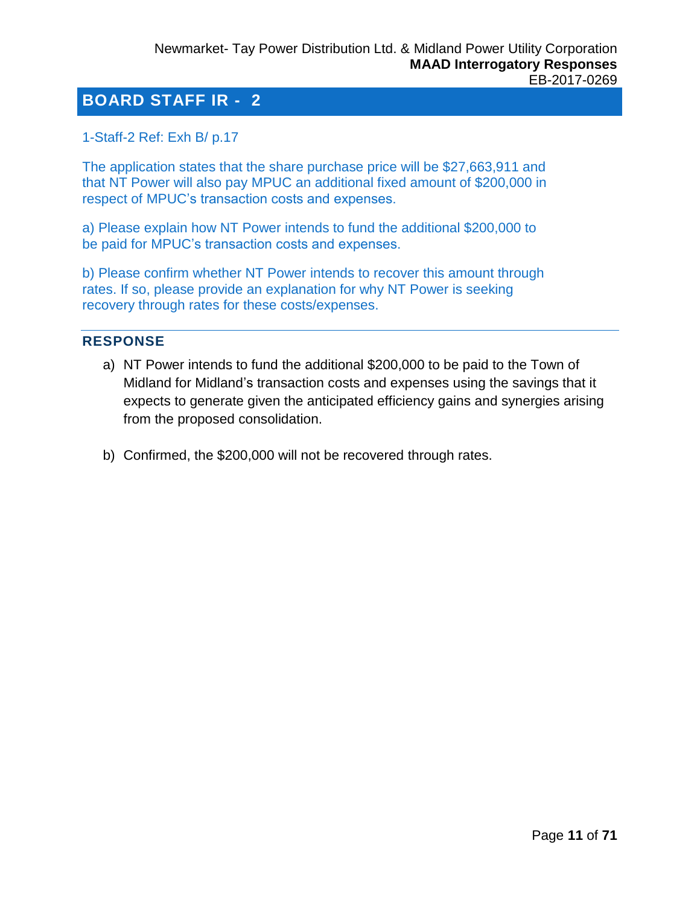#### <span id="page-10-0"></span>1-Staff-2 Ref: Exh B/ p.17

The application states that the share purchase price will be \$27,663,911 and that NT Power will also pay MPUC an additional fixed amount of \$200,000 in respect of MPUC's transaction costs and expenses.

a) Please explain how NT Power intends to fund the additional \$200,000 to be paid for MPUC's transaction costs and expenses.

b) Please confirm whether NT Power intends to recover this amount through rates. If so, please provide an explanation for why NT Power is seeking recovery through rates for these costs/expenses.

#### **RESPONSE**

- a) NT Power intends to fund the additional \$200,000 to be paid to the Town of Midland for Midland's transaction costs and expenses using the savings that it expects to generate given the anticipated efficiency gains and synergies arising from the proposed consolidation.
- b) Confirmed, the \$200,000 will not be recovered through rates.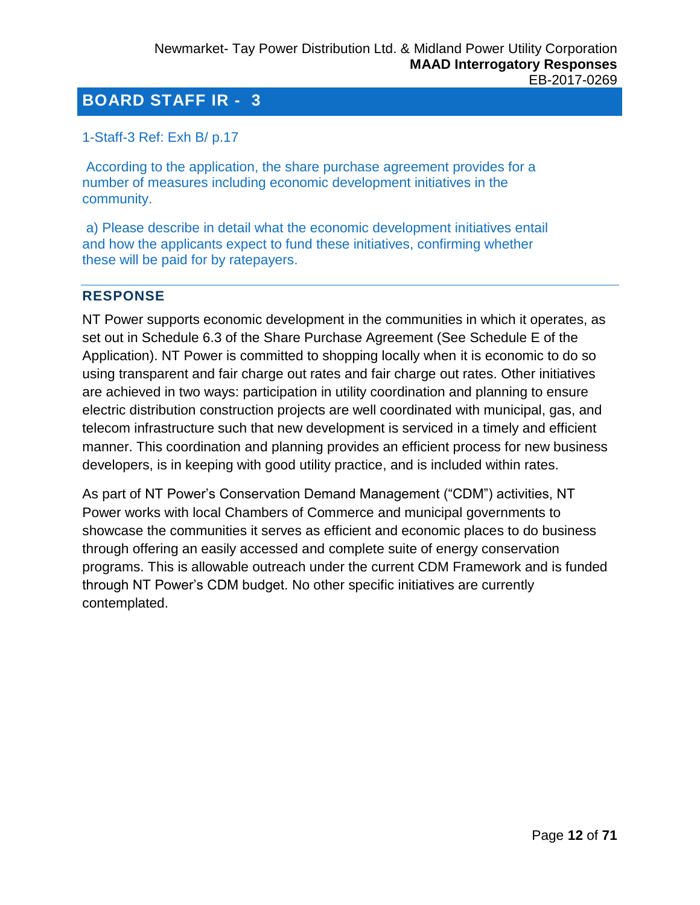### <span id="page-11-0"></span>1-Staff-3 Ref: Exh B/ p.17

According to the application, the share purchase agreement provides for a number of measures including economic development initiatives in the community.

a) Please describe in detail what the economic development initiatives entail and how the applicants expect to fund these initiatives, confirming whether these will be paid for by ratepayers.

#### **RESPONSE**

NT Power supports economic development in the communities in which it operates, as set out in Schedule 6.3 of the Share Purchase Agreement (See Schedule E of the Application). NT Power is committed to shopping locally when it is economic to do so using transparent and fair charge out rates and fair charge out rates. Other initiatives are achieved in two ways: participation in utility coordination and planning to ensure electric distribution construction projects are well coordinated with municipal, gas, and telecom infrastructure such that new development is serviced in a timely and efficient manner. This coordination and planning provides an efficient process for new business developers, is in keeping with good utility practice, and is included within rates.

As part of NT Power's Conservation Demand Management ("CDM") activities, NT Power works with local Chambers of Commerce and municipal governments to showcase the communities it serves as efficient and economic places to do business through offering an easily accessed and complete suite of energy conservation programs. This is allowable outreach under the current CDM Framework and is funded through NT Power's CDM budget. No other specific initiatives are currently contemplated.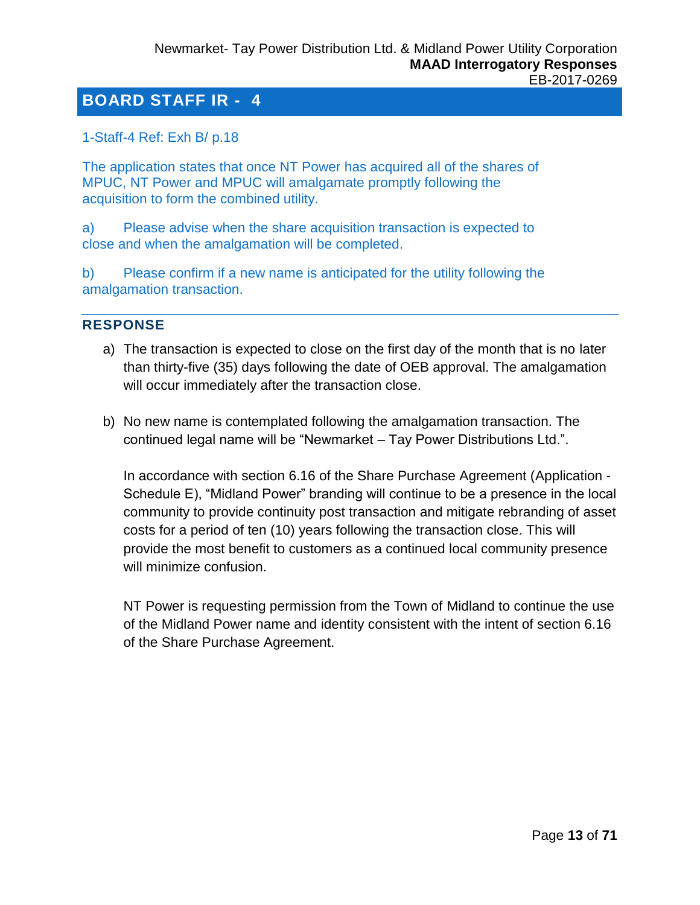## <span id="page-12-0"></span>1-Staff-4 Ref: Exh B/ p.18

The application states that once NT Power has acquired all of the shares of MPUC, NT Power and MPUC will amalgamate promptly following the acquisition to form the combined utility.

a) Please advise when the share acquisition transaction is expected to close and when the amalgamation will be completed.

b) Please confirm if a new name is anticipated for the utility following the amalgamation transaction.

#### **RESPONSE**

- a) The transaction is expected to close on the first day of the month that is no later than thirty-five (35) days following the date of OEB approval. The amalgamation will occur immediately after the transaction close.
- b) No new name is contemplated following the amalgamation transaction. The continued legal name will be "Newmarket – Tay Power Distributions Ltd.".

In accordance with section 6.16 of the Share Purchase Agreement (Application - Schedule E), "Midland Power" branding will continue to be a presence in the local community to provide continuity post transaction and mitigate rebranding of asset costs for a period of ten (10) years following the transaction close. This will provide the most benefit to customers as a continued local community presence will minimize confusion.

NT Power is requesting permission from the Town of Midland to continue the use of the Midland Power name and identity consistent with the intent of section 6.16 of the Share Purchase Agreement.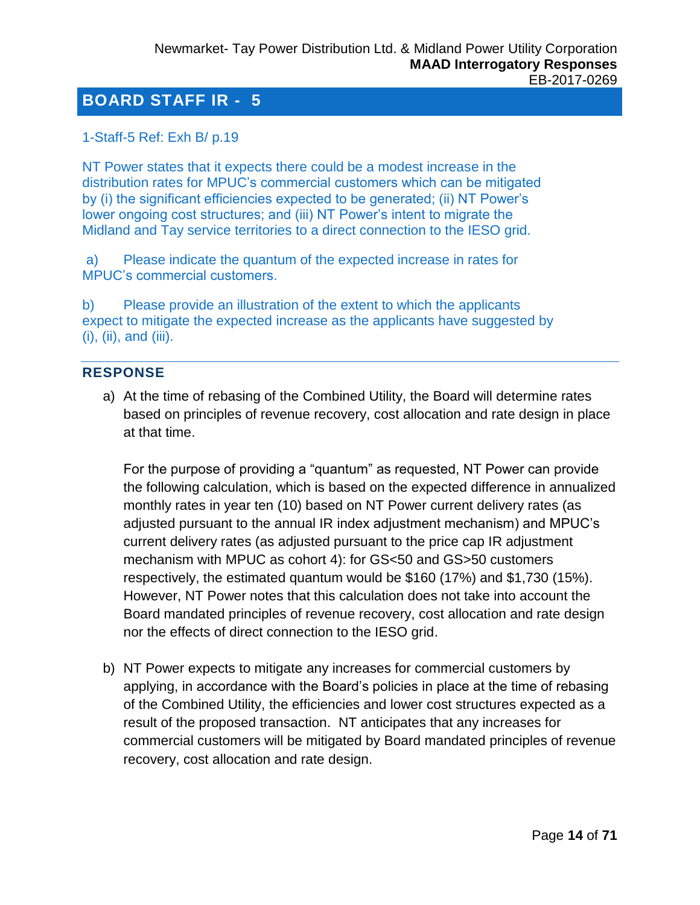### <span id="page-13-0"></span>1-Staff-5 Ref: Exh B/ p.19

NT Power states that it expects there could be a modest increase in the distribution rates for MPUC's commercial customers which can be mitigated by (i) the significant efficiencies expected to be generated; (ii) NT Power's lower ongoing cost structures; and (iii) NT Power's intent to migrate the Midland and Tay service territories to a direct connection to the IESO grid.

a) Please indicate the quantum of the expected increase in rates for MPUC's commercial customers.

b) Please provide an illustration of the extent to which the applicants expect to mitigate the expected increase as the applicants have suggested by (i), (ii), and (iii).

#### **RESPONSE**

a) At the time of rebasing of the Combined Utility, the Board will determine rates based on principles of revenue recovery, cost allocation and rate design in place at that time.

For the purpose of providing a "quantum" as requested, NT Power can provide the following calculation, which is based on the expected difference in annualized monthly rates in year ten (10) based on NT Power current delivery rates (as adjusted pursuant to the annual IR index adjustment mechanism) and MPUC's current delivery rates (as adjusted pursuant to the price cap IR adjustment mechanism with MPUC as cohort 4): for GS<50 and GS>50 customers respectively, the estimated quantum would be \$160 (17%) and \$1,730 (15%). However, NT Power notes that this calculation does not take into account the Board mandated principles of revenue recovery, cost allocation and rate design nor the effects of direct connection to the IESO grid.

b) NT Power expects to mitigate any increases for commercial customers by applying, in accordance with the Board's policies in place at the time of rebasing of the Combined Utility, the efficiencies and lower cost structures expected as a result of the proposed transaction. NT anticipates that any increases for commercial customers will be mitigated by Board mandated principles of revenue recovery, cost allocation and rate design.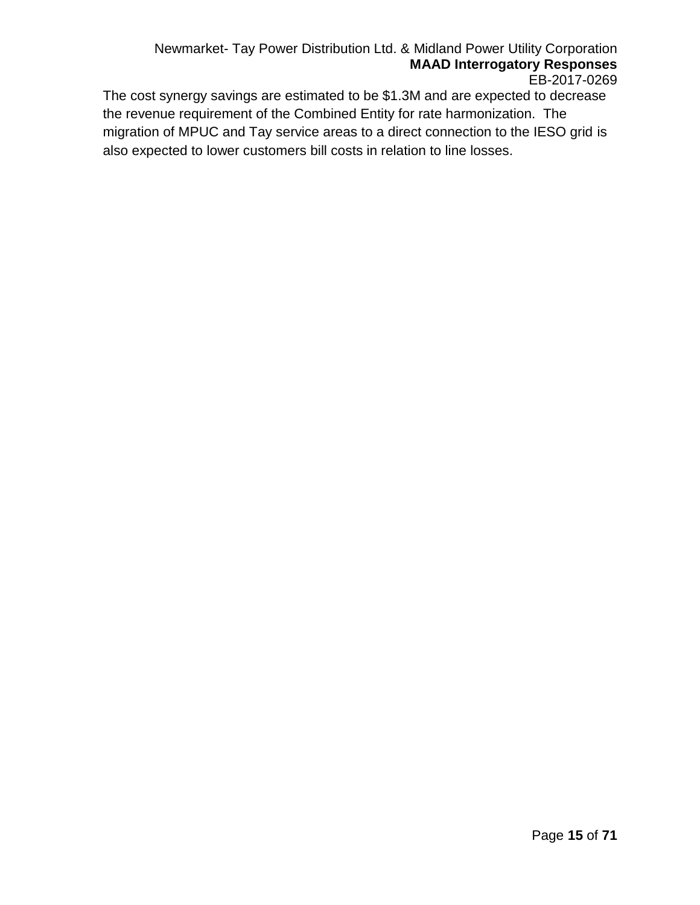#### Newmarket- Tay Power Distribution Ltd. & Midland Power Utility Corporation **MAAD Interrogatory Responses** EB-2017-0269

The cost synergy savings are estimated to be \$1.3M and are expected to decrease the revenue requirement of the Combined Entity for rate harmonization. The migration of MPUC and Tay service areas to a direct connection to the IESO grid is also expected to lower customers bill costs in relation to line losses.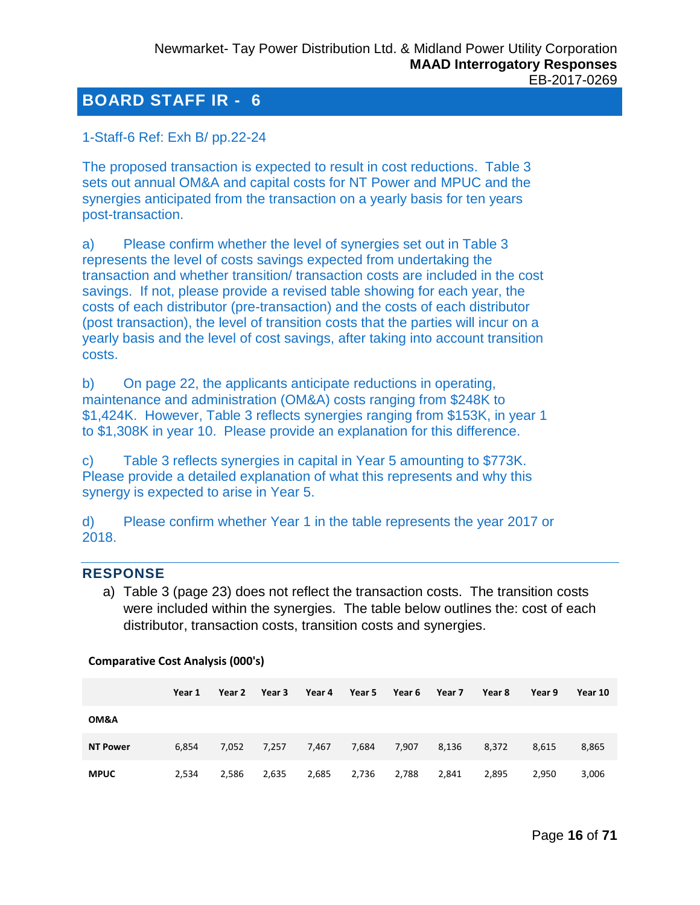<span id="page-15-0"></span>1-Staff-6 Ref: Exh B/ pp.22-24

The proposed transaction is expected to result in cost reductions. Table 3 sets out annual OM&A and capital costs for NT Power and MPUC and the synergies anticipated from the transaction on a yearly basis for ten years post-transaction.

a) Please confirm whether the level of synergies set out in Table 3 represents the level of costs savings expected from undertaking the transaction and whether transition/ transaction costs are included in the cost savings. If not, please provide a revised table showing for each year, the costs of each distributor (pre-transaction) and the costs of each distributor (post transaction), the level of transition costs that the parties will incur on a yearly basis and the level of cost savings, after taking into account transition costs.

b) On page 22, the applicants anticipate reductions in operating, maintenance and administration (OM&A) costs ranging from \$248K to \$1,424K. However, Table 3 reflects synergies ranging from \$153K, in year 1 to \$1,308K in year 10. Please provide an explanation for this difference.

c) Table 3 reflects synergies in capital in Year 5 amounting to \$773K. Please provide a detailed explanation of what this represents and why this synergy is expected to arise in Year 5.

d) Please confirm whether Year 1 in the table represents the year 2017 or 2018.

#### **RESPONSE**

a) Table 3 (page 23) does not reflect the transaction costs. The transition costs were included within the synergies. The table below outlines the: cost of each distributor, transaction costs, transition costs and synergies.

|                 | Year 1 | Year 2 | Year 3 | Year 4 | Year 5 | Year 6 | Year 7 | Year 8 | Year 9 | Year 10 |
|-----------------|--------|--------|--------|--------|--------|--------|--------|--------|--------|---------|
| OM&A            |        |        |        |        |        |        |        |        |        |         |
| <b>NT Power</b> | 6,854  | 7,052  | 7,257  | 7,467  | 7,684  | 7,907  | 8,136  | 8,372  | 8,615  | 8,865   |
| <b>MPUC</b>     | 2,534  | 2,586  | 2,635  | 2,685  | 2,736  | 2,788  | 2,841  | 2,895  | 2,950  | 3,006   |

#### **Comparative Cost Analysis (000's)**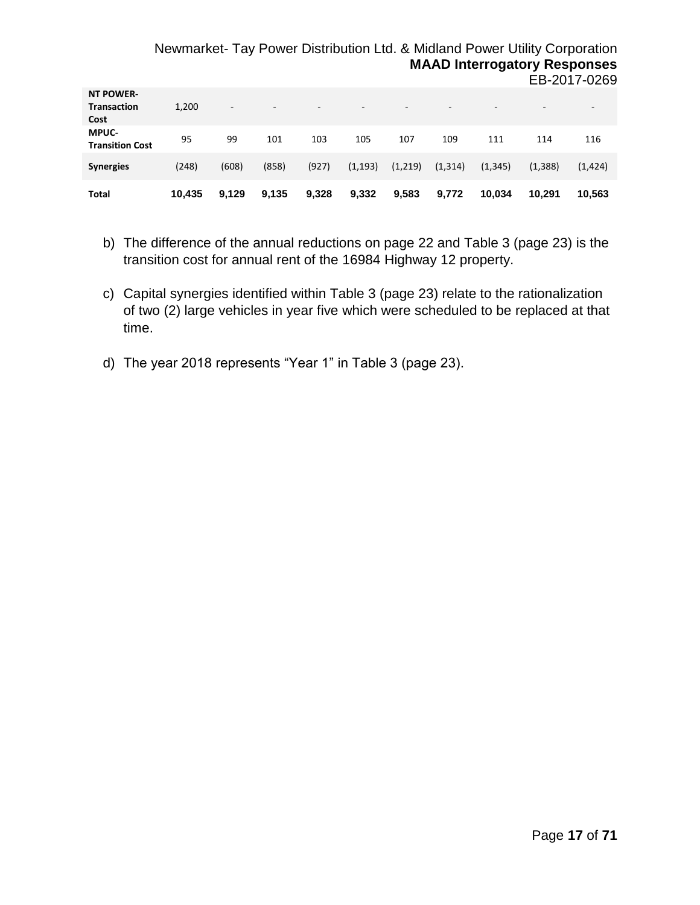#### Newmarket- Tay Power Distribution Ltd. & Midland Power Utility Corporation **MAAD Interrogatory Responses** EB-2017-0269

| <b>NT POWER-</b><br>Transaction<br>Cost | 1,200  | $\overline{\phantom{a}}$ | $\overline{\phantom{a}}$ |       | $\overline{\phantom{a}}$ | $\sim$  | $\overline{\phantom{a}}$ | -        | $\overline{\phantom{a}}$ | $\sim$   |
|-----------------------------------------|--------|--------------------------|--------------------------|-------|--------------------------|---------|--------------------------|----------|--------------------------|----------|
| <b>MPUC-</b><br><b>Transition Cost</b>  | 95     | 99                       | 101                      | 103   | 105                      | 107     | 109                      | 111      | 114                      | 116      |
| <b>Synergies</b>                        | (248)  | (608)                    | (858)                    | (927) | (1, 193)                 | (1,219) | (1, 314)                 | (1, 345) | (1, 388)                 | (1, 424) |
| Total                                   | 10,435 | 9.129                    | 9,135                    | 9,328 | 9,332                    | 9,583   | 9,772                    | 10.034   | 10.291                   | 10.563   |

- b) The difference of the annual reductions on page 22 and Table 3 (page 23) is the transition cost for annual rent of the 16984 Highway 12 property.
- c) Capital synergies identified within Table 3 (page 23) relate to the rationalization of two (2) large vehicles in year five which were scheduled to be replaced at that time.
- d) The year 2018 represents "Year 1" in Table 3 (page 23).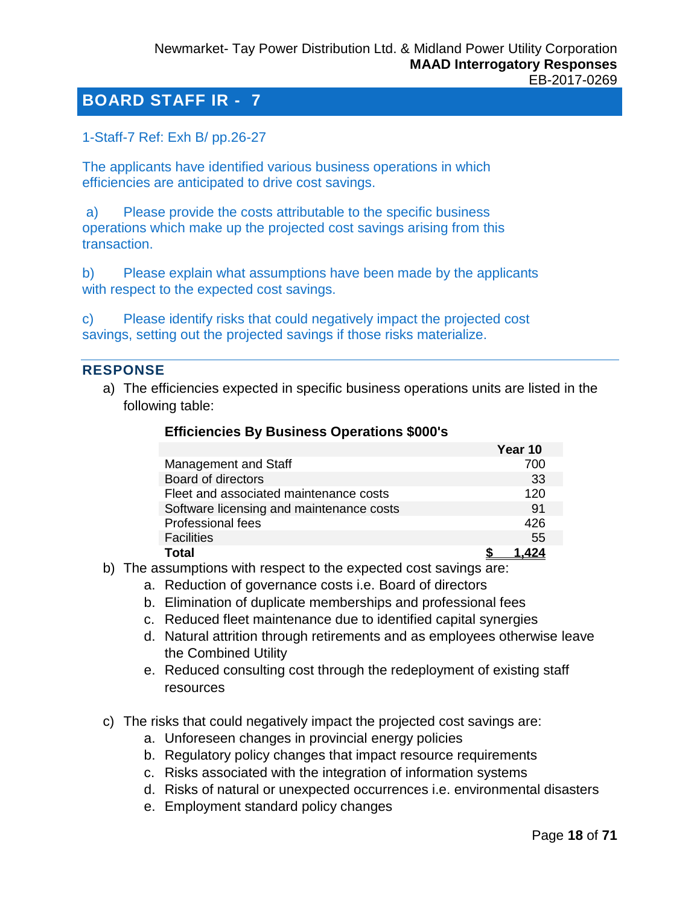<span id="page-17-0"></span>1-Staff-7 Ref: Exh B/ pp.26-27

The applicants have identified various business operations in which efficiencies are anticipated to drive cost savings.

a) Please provide the costs attributable to the specific business operations which make up the projected cost savings arising from this transaction.

b) Please explain what assumptions have been made by the applicants with respect to the expected cost savings.

c) Please identify risks that could negatively impact the projected cost savings, setting out the projected savings if those risks materialize.

#### **RESPONSE**

a) The efficiencies expected in specific business operations units are listed in the following table:

|                                          | Year 10 |
|------------------------------------------|---------|
| Management and Staff                     | 700     |
| Board of directors                       | 33      |
| Fleet and associated maintenance costs   | 120     |
| Software licensing and maintenance costs | 91      |
| <b>Professional fees</b>                 | 426     |
| <b>Facilities</b>                        | 55      |
| Total                                    |         |

#### **Efficiencies By Business Operations \$000's**

- b) The assumptions with respect to the expected cost savings are:
	- a. Reduction of governance costs i.e. Board of directors
	- b. Elimination of duplicate memberships and professional fees
	- c. Reduced fleet maintenance due to identified capital synergies
	- d. Natural attrition through retirements and as employees otherwise leave the Combined Utility
	- e. Reduced consulting cost through the redeployment of existing staff resources
- c) The risks that could negatively impact the projected cost savings are:
	- a. Unforeseen changes in provincial energy policies
	- b. Regulatory policy changes that impact resource requirements
	- c. Risks associated with the integration of information systems
	- d. Risks of natural or unexpected occurrences i.e. environmental disasters
	- e. Employment standard policy changes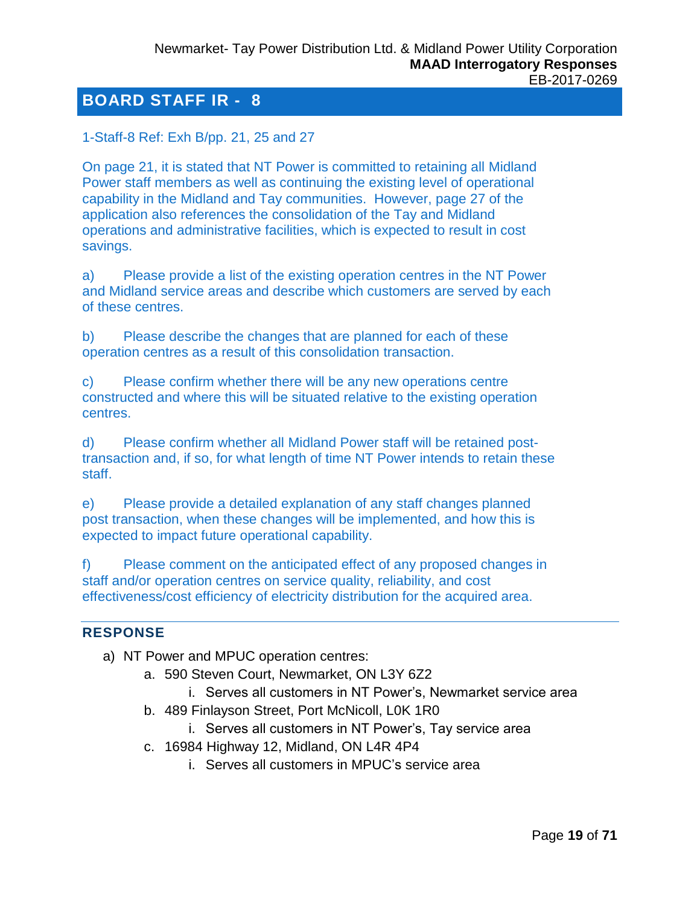<span id="page-18-0"></span>1-Staff-8 Ref: Exh B/pp. 21, 25 and 27

On page 21, it is stated that NT Power is committed to retaining all Midland Power staff members as well as continuing the existing level of operational capability in the Midland and Tay communities. However, page 27 of the application also references the consolidation of the Tay and Midland operations and administrative facilities, which is expected to result in cost savings.

a) Please provide a list of the existing operation centres in the NT Power and Midland service areas and describe which customers are served by each of these centres.

b) Please describe the changes that are planned for each of these operation centres as a result of this consolidation transaction.

c) Please confirm whether there will be any new operations centre constructed and where this will be situated relative to the existing operation centres.

d) Please confirm whether all Midland Power staff will be retained posttransaction and, if so, for what length of time NT Power intends to retain these staff.

e) Please provide a detailed explanation of any staff changes planned post transaction, when these changes will be implemented, and how this is expected to impact future operational capability.

f) Please comment on the anticipated effect of any proposed changes in staff and/or operation centres on service quality, reliability, and cost effectiveness/cost efficiency of electricity distribution for the acquired area.

#### **RESPONSE**

- a) NT Power and MPUC operation centres:
	- a. 590 Steven Court, Newmarket, ON L3Y 6Z2
		- i. Serves all customers in NT Power's, Newmarket service area
	- b. 489 Finlayson Street, Port McNicoll, L0K 1R0
		- i. Serves all customers in NT Power's, Tay service area
	- c. 16984 Highway 12, Midland, ON L4R 4P4
		- i. Serves all customers in MPUC's service area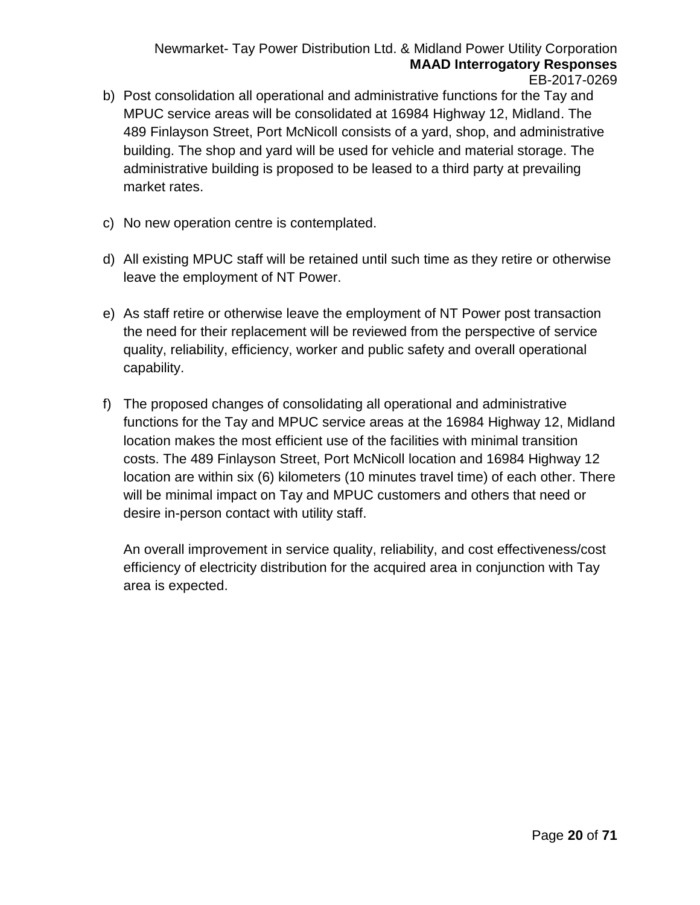Newmarket- Tay Power Distribution Ltd. & Midland Power Utility Corporation **MAAD Interrogatory Responses** EB-2017-0269

- b) Post consolidation all operational and administrative functions for the Tay and MPUC service areas will be consolidated at 16984 Highway 12, Midland. The 489 Finlayson Street, Port McNicoll consists of a yard, shop, and administrative building. The shop and yard will be used for vehicle and material storage. The administrative building is proposed to be leased to a third party at prevailing market rates.
- c) No new operation centre is contemplated.
- d) All existing MPUC staff will be retained until such time as they retire or otherwise leave the employment of NT Power.
- e) As staff retire or otherwise leave the employment of NT Power post transaction the need for their replacement will be reviewed from the perspective of service quality, reliability, efficiency, worker and public safety and overall operational capability.
- f) The proposed changes of consolidating all operational and administrative functions for the Tay and MPUC service areas at the 16984 Highway 12, Midland location makes the most efficient use of the facilities with minimal transition costs. The 489 Finlayson Street, Port McNicoll location and 16984 Highway 12 location are within six (6) kilometers (10 minutes travel time) of each other. There will be minimal impact on Tay and MPUC customers and others that need or desire in-person contact with utility staff.

An overall improvement in service quality, reliability, and cost effectiveness/cost efficiency of electricity distribution for the acquired area in conjunction with Tay area is expected.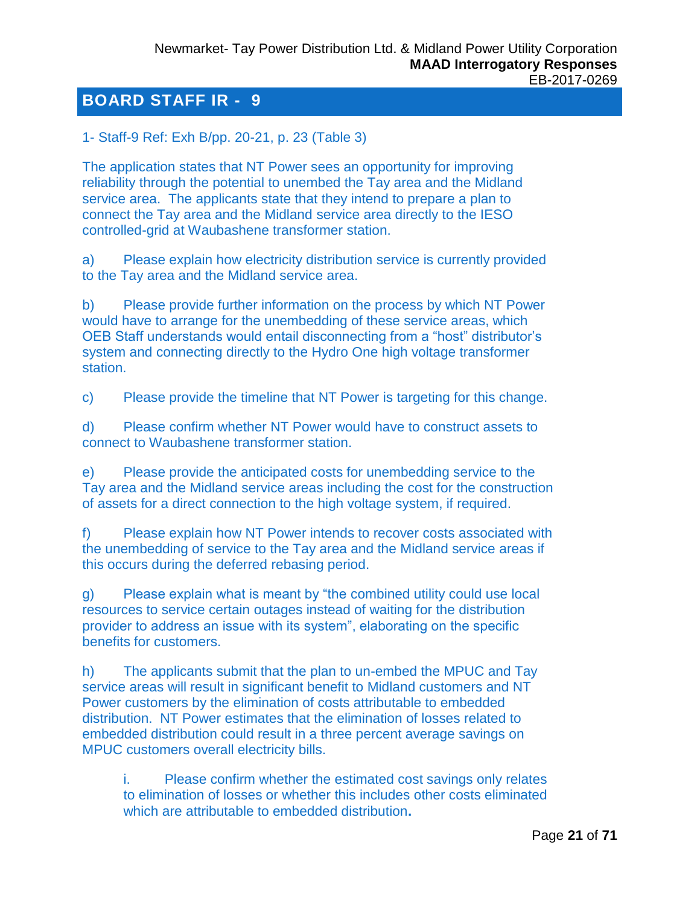<span id="page-20-0"></span>1- Staff-9 Ref: Exh B/pp. 20-21, p. 23 (Table 3)

The application states that NT Power sees an opportunity for improving reliability through the potential to unembed the Tay area and the Midland service area. The applicants state that they intend to prepare a plan to connect the Tay area and the Midland service area directly to the IESO controlled-grid at Waubashene transformer station.

a) Please explain how electricity distribution service is currently provided to the Tay area and the Midland service area.

b) Please provide further information on the process by which NT Power would have to arrange for the unembedding of these service areas, which OEB Staff understands would entail disconnecting from a "host" distributor's system and connecting directly to the Hydro One high voltage transformer station.

c) Please provide the timeline that NT Power is targeting for this change.

d) Please confirm whether NT Power would have to construct assets to connect to Waubashene transformer station.

e) Please provide the anticipated costs for unembedding service to the Tay area and the Midland service areas including the cost for the construction of assets for a direct connection to the high voltage system, if required.

f) Please explain how NT Power intends to recover costs associated with the unembedding of service to the Tay area and the Midland service areas if this occurs during the deferred rebasing period.

g) Please explain what is meant by "the combined utility could use local resources to service certain outages instead of waiting for the distribution provider to address an issue with its system", elaborating on the specific benefits for customers.

h) The applicants submit that the plan to un-embed the MPUC and Tay service areas will result in significant benefit to Midland customers and NT Power customers by the elimination of costs attributable to embedded distribution. NT Power estimates that the elimination of losses related to embedded distribution could result in a three percent average savings on MPUC customers overall electricity bills.

i. Please confirm whether the estimated cost savings only relates to elimination of losses or whether this includes other costs eliminated which are attributable to embedded distribution**.**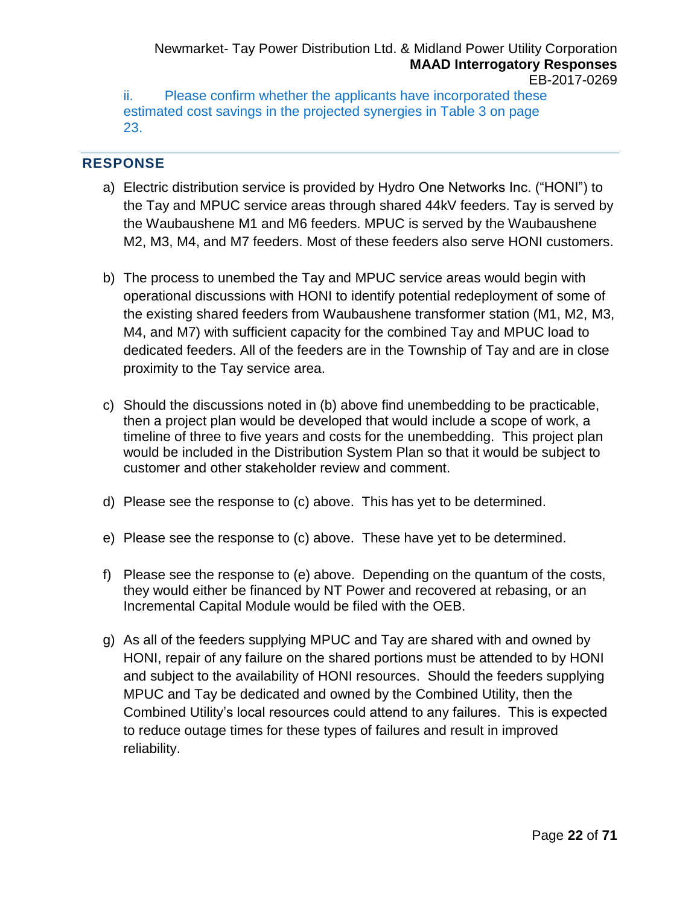Newmarket- Tay Power Distribution Ltd. & Midland Power Utility Corporation **MAAD Interrogatory Responses** EB-2017-0269

ii. Please confirm whether the applicants have incorporated these estimated cost savings in the projected synergies in Table 3 on page 23.

#### **RESPONSE**

- a) Electric distribution service is provided by Hydro One Networks Inc. ("HONI") to the Tay and MPUC service areas through shared 44kV feeders. Tay is served by the Waubaushene M1 and M6 feeders. MPUC is served by the Waubaushene M2, M3, M4, and M7 feeders. Most of these feeders also serve HONI customers.
- b) The process to unembed the Tay and MPUC service areas would begin with operational discussions with HONI to identify potential redeployment of some of the existing shared feeders from Waubaushene transformer station (M1, M2, M3, M4, and M7) with sufficient capacity for the combined Tay and MPUC load to dedicated feeders. All of the feeders are in the Township of Tay and are in close proximity to the Tay service area.
- c) Should the discussions noted in (b) above find unembedding to be practicable, then a project plan would be developed that would include a scope of work, a timeline of three to five years and costs for the unembedding. This project plan would be included in the Distribution System Plan so that it would be subject to customer and other stakeholder review and comment.
- d) Please see the response to (c) above. This has yet to be determined.
- e) Please see the response to (c) above. These have yet to be determined.
- f) Please see the response to (e) above. Depending on the quantum of the costs, they would either be financed by NT Power and recovered at rebasing, or an Incremental Capital Module would be filed with the OEB.
- g) As all of the feeders supplying MPUC and Tay are shared with and owned by HONI, repair of any failure on the shared portions must be attended to by HONI and subject to the availability of HONI resources. Should the feeders supplying MPUC and Tay be dedicated and owned by the Combined Utility, then the Combined Utility's local resources could attend to any failures. This is expected to reduce outage times for these types of failures and result in improved reliability.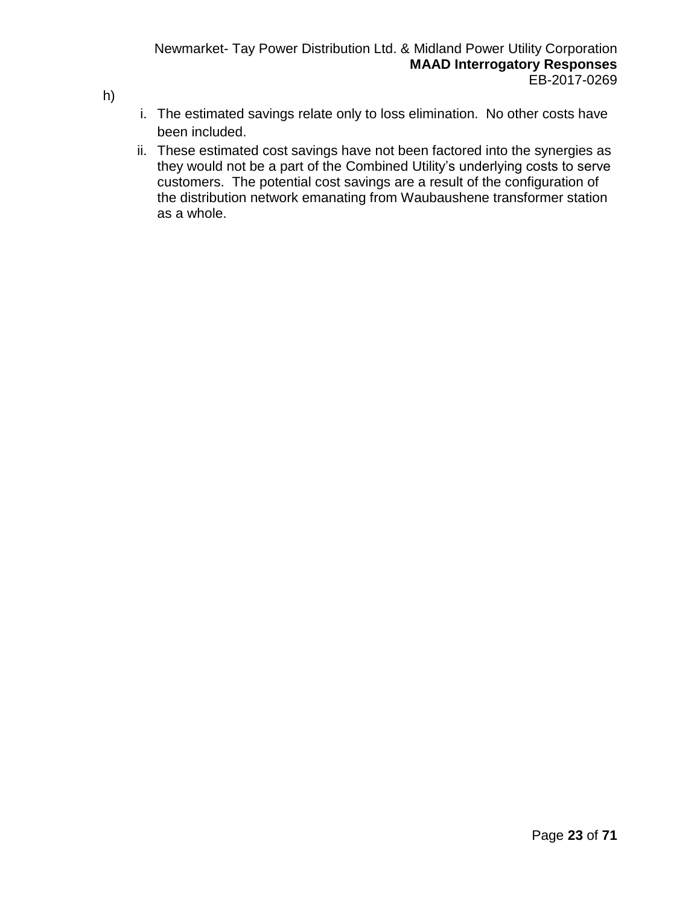- i. The estimated savings relate only to loss elimination. No other costs have been included.
- ii. These estimated cost savings have not been factored into the synergies as they would not be a part of the Combined Utility's underlying costs to serve customers. The potential cost savings are a result of the configuration of the distribution network emanating from Waubaushene transformer station as a whole.

h)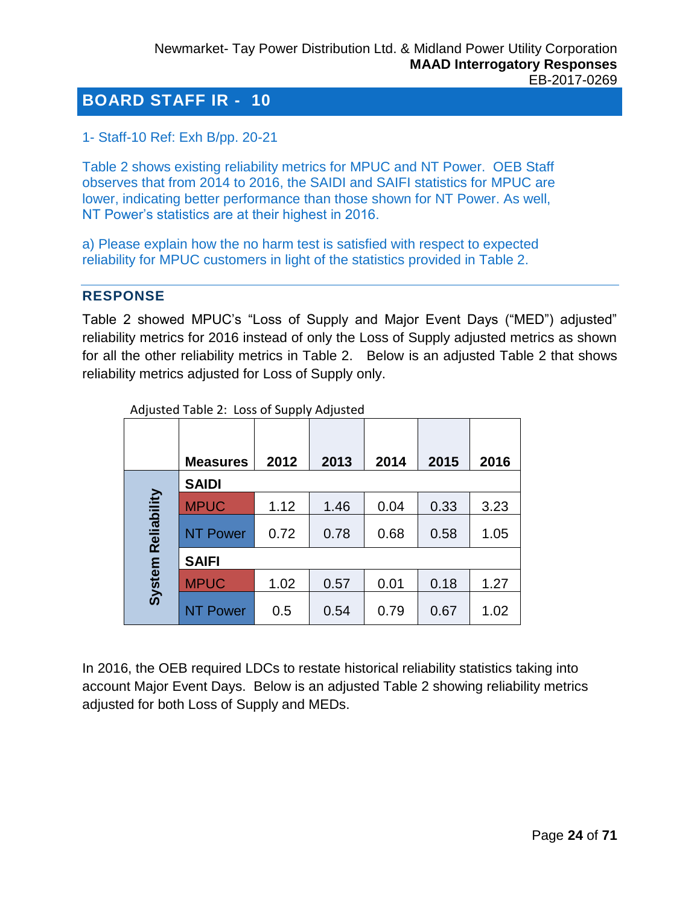<span id="page-23-0"></span>1- Staff-10 Ref: Exh B/pp. 20-21

Table 2 shows existing reliability metrics for MPUC and NT Power. OEB Staff observes that from 2014 to 2016, the SAIDI and SAIFI statistics for MPUC are lower, indicating better performance than those shown for NT Power. As well, NT Power's statistics are at their highest in 2016.

a) Please explain how the no harm test is satisfied with respect to expected reliability for MPUC customers in light of the statistics provided in Table 2.

#### **RESPONSE**

Table 2 showed MPUC's "Loss of Supply and Major Event Days ("MED") adjusted" reliability metrics for 2016 instead of only the Loss of Supply adjusted metrics as shown for all the other reliability metrics in Table 2. Below is an adjusted Table 2 that shows reliability metrics adjusted for Loss of Supply only.

|             | <b>Measures</b> | 2012 | 2013 | 2014 | 2015 | 2016 |
|-------------|-----------------|------|------|------|------|------|
|             | <b>SAIDI</b>    |      |      |      |      |      |
|             | <b>MPUC</b>     | 1.12 | 1.46 | 0.04 | 0.33 | 3.23 |
| Reliability | <b>NT Power</b> | 0.72 | 0.78 | 0.68 | 0.58 | 1.05 |
|             | <b>SAIFI</b>    |      |      |      |      |      |
| System      | <b>MPUC</b>     | 1.02 | 0.57 | 0.01 | 0.18 | 1.27 |
|             | <b>NT Power</b> | 0.5  | 0.54 | 0.79 | 0.67 | 1.02 |

Adjusted Table 2: Loss of Supply Adjusted

In 2016, the OEB required LDCs to restate historical reliability statistics taking into account Major Event Days. Below is an adjusted Table 2 showing reliability metrics adjusted for both Loss of Supply and MEDs.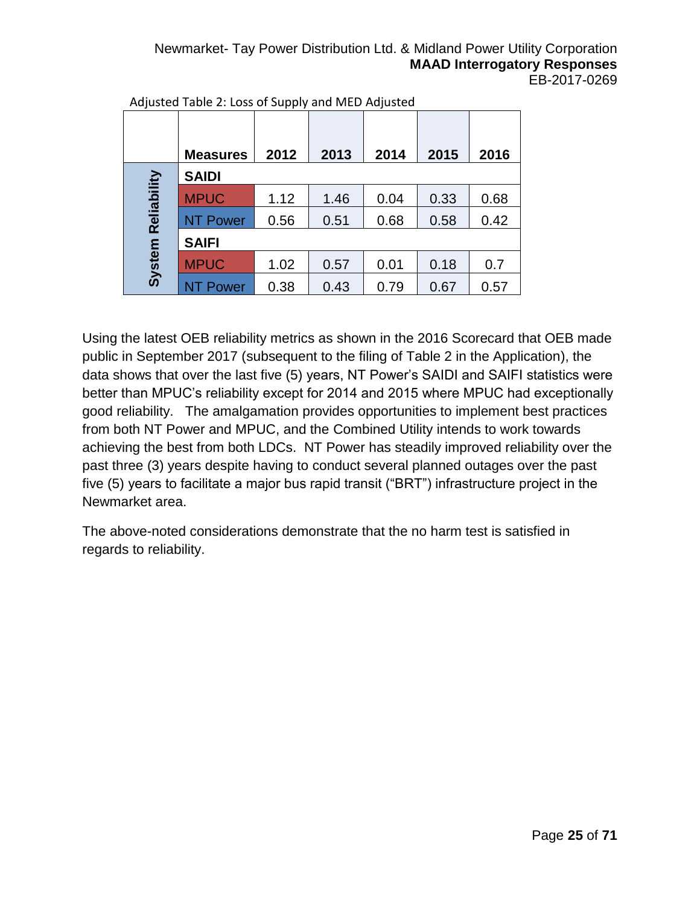#### Newmarket- Tay Power Distribution Ltd. & Midland Power Utility Corporation **MAAD Interrogatory Responses** EB-2017-0269

|             | <b>Measures</b> | 2012 | 2013 | 2014 | 2015 | 2016 |
|-------------|-----------------|------|------|------|------|------|
|             | <b>SAIDI</b>    |      |      |      |      |      |
| Reliability | <b>MPUC</b>     | 1.12 | 1.46 | 0.04 | 0.33 | 0.68 |
|             | <b>NT Power</b> | 0.56 | 0.51 | 0.68 | 0.58 | 0.42 |
|             | <b>SAIFI</b>    |      |      |      |      |      |
| System      | <b>MPUC</b>     | 1.02 | 0.57 | 0.01 | 0.18 | 0.7  |
|             | NT Power        | 0.38 | 0.43 | 0.79 | 0.67 | 0.57 |

Adjusted Table 2: Loss of Supply and MED Adjusted

Using the latest OEB reliability metrics as shown in the 2016 Scorecard that OEB made public in September 2017 (subsequent to the filing of Table 2 in the Application), the data shows that over the last five (5) years, NT Power's SAIDI and SAIFI statistics were better than MPUC's reliability except for 2014 and 2015 where MPUC had exceptionally good reliability. The amalgamation provides opportunities to implement best practices from both NT Power and MPUC, and the Combined Utility intends to work towards achieving the best from both LDCs. NT Power has steadily improved reliability over the past three (3) years despite having to conduct several planned outages over the past five (5) years to facilitate a major bus rapid transit ("BRT") infrastructure project in the Newmarket area.

The above-noted considerations demonstrate that the no harm test is satisfied in regards to reliability.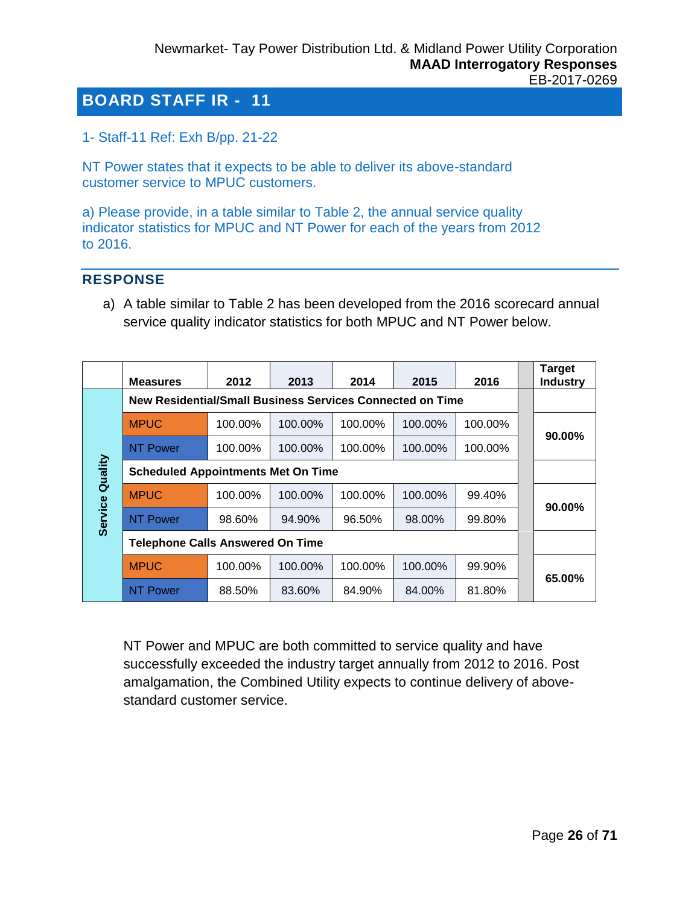<span id="page-25-0"></span>1- Staff-11 Ref: Exh B/pp. 21-22

NT Power states that it expects to be able to deliver its above-standard customer service to MPUC customers.

a) Please provide, in a table similar to Table 2, the annual service quality indicator statistics for MPUC and NT Power for each of the years from 2012 to 2016.

#### **RESPONSE**

a) A table similar to Table 2 has been developed from the 2016 scorecard annual service quality indicator statistics for both MPUC and NT Power below.

|                | <b>Measures</b>                                           | 2012    | 2013    | 2014    | 2015    | 2016    |  | <b>Target</b><br><b>Industry</b> |  |  |  |
|----------------|-----------------------------------------------------------|---------|---------|---------|---------|---------|--|----------------------------------|--|--|--|
|                | New Residential/Small Business Services Connected on Time |         |         |         |         |         |  |                                  |  |  |  |
|                | <b>MPUC</b>                                               | 100.00% | 100.00% | 100.00% | 100.00% | 100.00% |  | 90.00%                           |  |  |  |
|                | <b>NT Power</b>                                           | 100.00% | 100.00% | 100.00% | 100.00% | 100.00% |  |                                  |  |  |  |
| Quality        | <b>Scheduled Appointments Met On Time</b>                 |         |         |         |         |         |  |                                  |  |  |  |
|                | <b>MPUC</b>                                               | 100.00% | 100.00% | 100.00% | 100.00% | 99.40%  |  | $90.00\%$                        |  |  |  |
| <b>Service</b> | <b>NT Power</b>                                           | 98.60%  | 94.90%  | 96.50%  | 98.00%  | 99.80%  |  |                                  |  |  |  |
|                | <b>Telephone Calls Answered On Time</b>                   |         |         |         |         |         |  |                                  |  |  |  |
|                | <b>MPUC</b>                                               | 100.00% | 100.00% | 100.00% | 100.00% | 99.90%  |  | 65.00%                           |  |  |  |
|                | <b>NT Power</b>                                           | 88.50%  | 83.60%  | 84.90%  | 84.00%  | 81.80%  |  |                                  |  |  |  |

NT Power and MPUC are both committed to service quality and have successfully exceeded the industry target annually from 2012 to 2016. Post amalgamation, the Combined Utility expects to continue delivery of abovestandard customer service.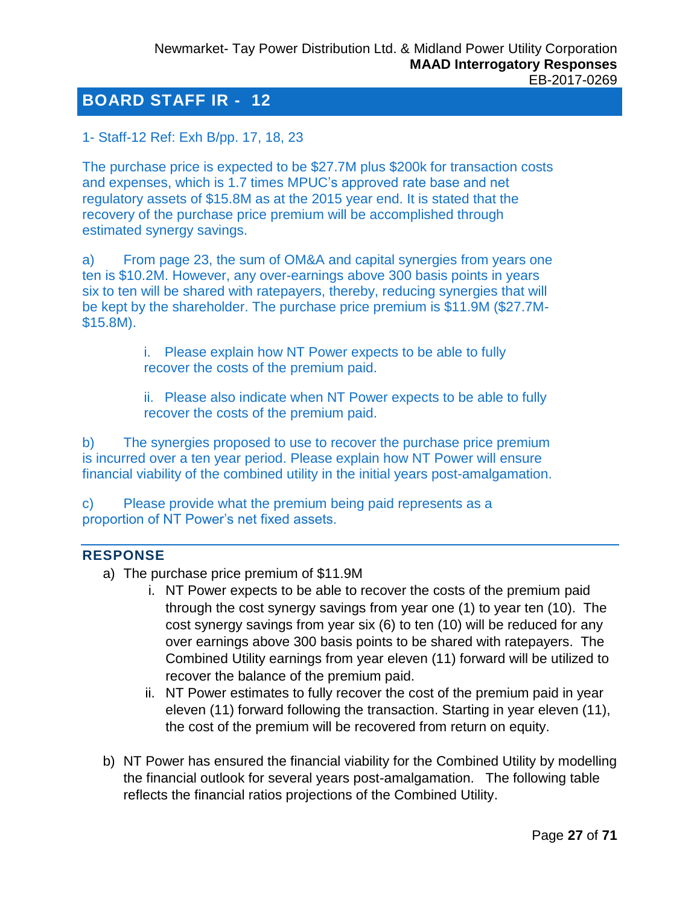<span id="page-26-0"></span>1- Staff-12 Ref: Exh B/pp. 17, 18, 23

The purchase price is expected to be \$27.7M plus \$200k for transaction costs and expenses, which is 1.7 times MPUC's approved rate base and net regulatory assets of \$15.8M as at the 2015 year end. It is stated that the recovery of the purchase price premium will be accomplished through estimated synergy savings.

a) From page 23, the sum of OM&A and capital synergies from years one ten is \$10.2M. However, any over-earnings above 300 basis points in years six to ten will be shared with ratepayers, thereby, reducing synergies that will be kept by the shareholder. The purchase price premium is \$11.9M (\$27.7M- \$15.8M).

> i. Please explain how NT Power expects to be able to fully recover the costs of the premium paid.

ii. Please also indicate when NT Power expects to be able to fully recover the costs of the premium paid.

b) The synergies proposed to use to recover the purchase price premium is incurred over a ten year period. Please explain how NT Power will ensure financial viability of the combined utility in the initial years post-amalgamation.

c) Please provide what the premium being paid represents as a proportion of NT Power's net fixed assets.

#### **RESPONSE**

- a) The purchase price premium of \$11.9M
	- i. NT Power expects to be able to recover the costs of the premium paid through the cost synergy savings from year one (1) to year ten (10). The cost synergy savings from year six (6) to ten (10) will be reduced for any over earnings above 300 basis points to be shared with ratepayers. The Combined Utility earnings from year eleven (11) forward will be utilized to recover the balance of the premium paid.
	- ii. NT Power estimates to fully recover the cost of the premium paid in year eleven (11) forward following the transaction. Starting in year eleven (11), the cost of the premium will be recovered from return on equity.
- b) NT Power has ensured the financial viability for the Combined Utility by modelling the financial outlook for several years post-amalgamation. The following table reflects the financial ratios projections of the Combined Utility.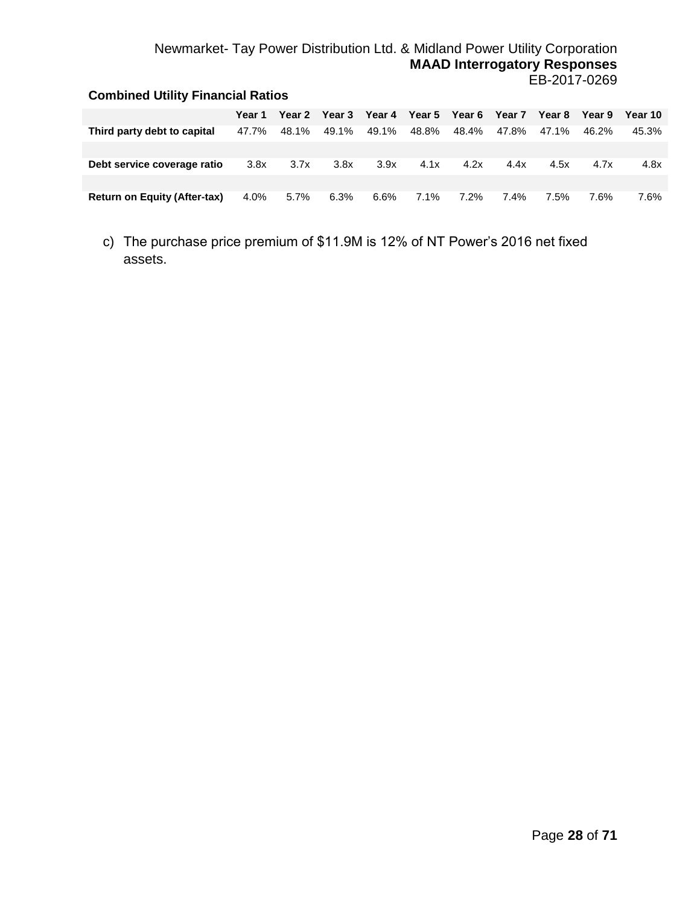## Newmarket- Tay Power Distribution Ltd. & Midland Power Utility Corporation **MAAD Interrogatory Responses** EB-2017-0269

| <b>Combined Utility Financial Ratios</b> |        |        |        |        |               |       |        |        |        |         |
|------------------------------------------|--------|--------|--------|--------|---------------|-------|--------|--------|--------|---------|
|                                          | Year 1 | Year 2 | Year 3 | Year 4 | Year 5 Year 6 |       | Year 7 | Year 8 | Year 9 | Year 10 |
| Third party debt to capital              | 47.7%  | 48.1%  | 49.1%  | 49.1%  | 48.8%         | 48.4% | 47.8%  | 47.1%  | 46.2%  | 45.3%   |
|                                          |        |        |        |        |               |       |        |        |        |         |
| Debt service coverage ratio              | 3.8x   | 3.7x   | 3.8x   | 3.9x   | 4.1x          | 4.2x  | 4.4x   | 4.5x   | 4.7x   | 4.8x    |
|                                          |        |        |        |        |               |       |        |        |        |         |
| <b>Return on Equity (After-tax)</b>      | 4.0%   | 5.7%   | 6.3%   | 6.6%   | 7.1%          | 7.2%  | 7.4%   | 7.5%   | 7.6%   | 7.6%    |

c) The purchase price premium of \$11.9M is 12% of NT Power's 2016 net fixed assets.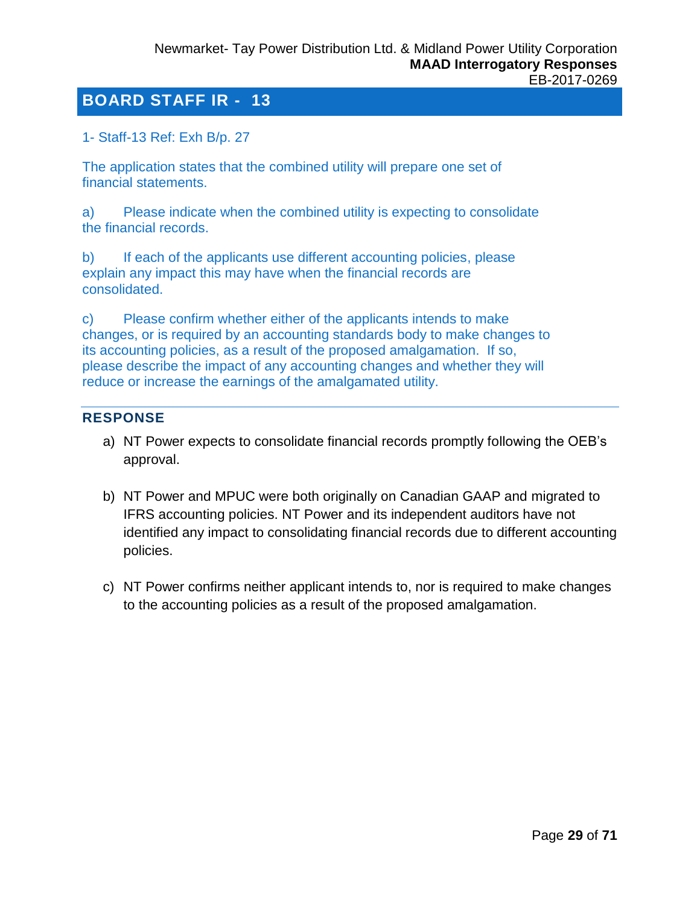#### <span id="page-28-0"></span>1- Staff-13 Ref: Exh B/p. 27

The application states that the combined utility will prepare one set of financial statements.

a) Please indicate when the combined utility is expecting to consolidate the financial records.

b) If each of the applicants use different accounting policies, please explain any impact this may have when the financial records are consolidated.

c) Please confirm whether either of the applicants intends to make changes, or is required by an accounting standards body to make changes to its accounting policies, as a result of the proposed amalgamation. If so, please describe the impact of any accounting changes and whether they will reduce or increase the earnings of the amalgamated utility.

#### **RESPONSE**

- a) NT Power expects to consolidate financial records promptly following the OEB's approval.
- b) NT Power and MPUC were both originally on Canadian GAAP and migrated to IFRS accounting policies. NT Power and its independent auditors have not identified any impact to consolidating financial records due to different accounting policies.
- c) NT Power confirms neither applicant intends to, nor is required to make changes to the accounting policies as a result of the proposed amalgamation.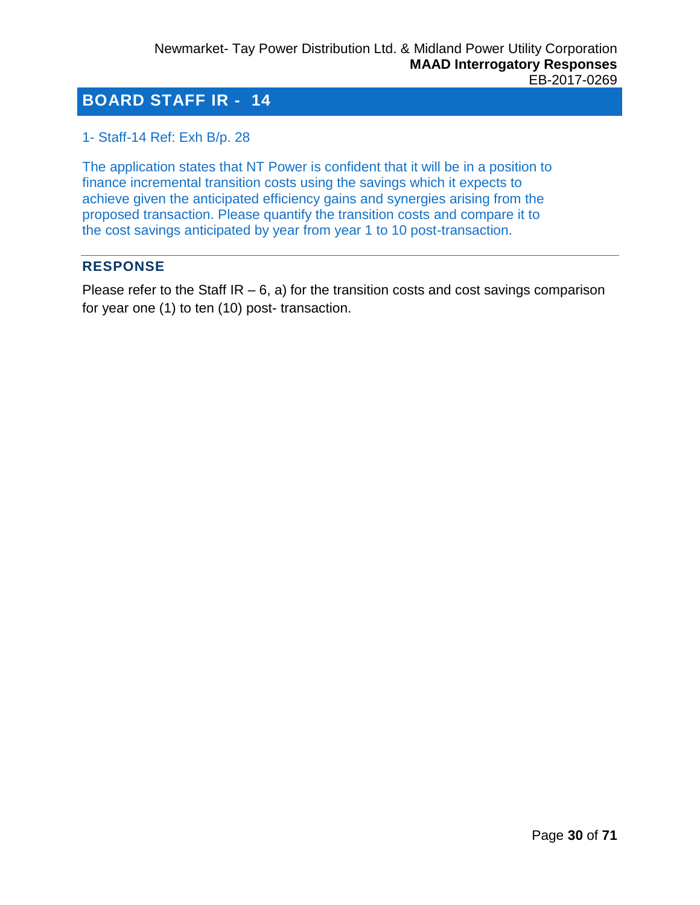<span id="page-29-0"></span>1- Staff-14 Ref: Exh B/p. 28

The application states that NT Power is confident that it will be in a position to finance incremental transition costs using the savings which it expects to achieve given the anticipated efficiency gains and synergies arising from the proposed transaction. Please quantify the transition costs and compare it to the cost savings anticipated by year from year 1 to 10 post-transaction.

## **RESPONSE**

Please refer to the Staff  $IR - 6$ , a) for the transition costs and cost savings comparison for year one (1) to ten (10) post- transaction.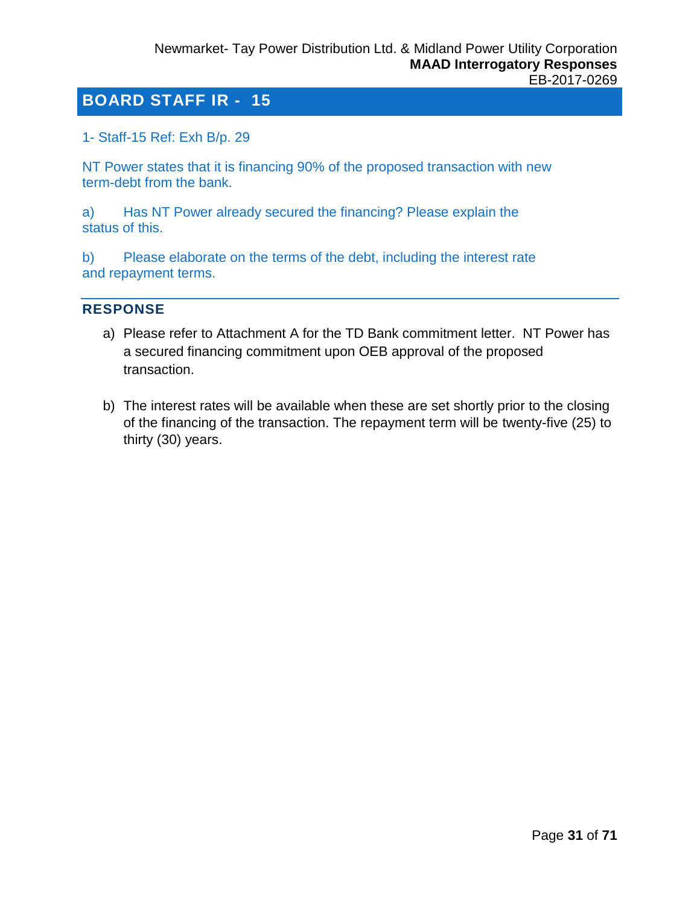<span id="page-30-0"></span>1- Staff-15 Ref: Exh B/p. 29

NT Power states that it is financing 90% of the proposed transaction with new term-debt from the bank.

a) Has NT Power already secured the financing? Please explain the status of this.

b) Please elaborate on the terms of the debt, including the interest rate and repayment terms.

#### **RESPONSE**

- a) Please refer to Attachment A for the TD Bank commitment letter. NT Power has a secured financing commitment upon OEB approval of the proposed transaction.
- b) The interest rates will be available when these are set shortly prior to the closing of the financing of the transaction. The repayment term will be twenty-five (25) to thirty (30) years.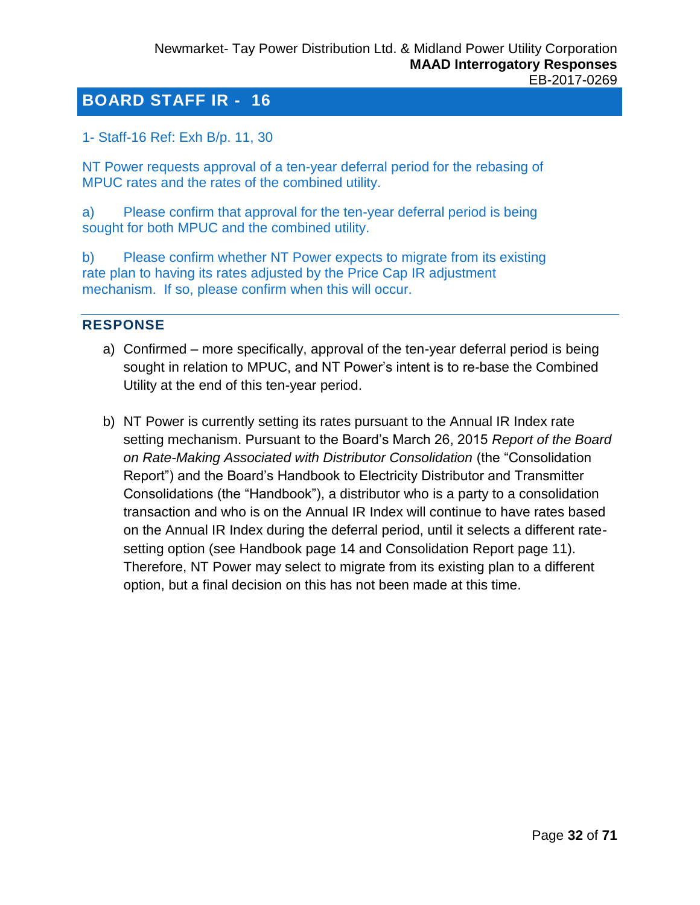<span id="page-31-0"></span>1- Staff-16 Ref: Exh B/p. 11, 30

NT Power requests approval of a ten-year deferral period for the rebasing of MPUC rates and the rates of the combined utility.

a) Please confirm that approval for the ten-year deferral period is being sought for both MPUC and the combined utility.

b) Please confirm whether NT Power expects to migrate from its existing rate plan to having its rates adjusted by the Price Cap IR adjustment mechanism. If so, please confirm when this will occur.

## **RESPONSE**

- a) Confirmed more specifically, approval of the ten-year deferral period is being sought in relation to MPUC, and NT Power's intent is to re-base the Combined Utility at the end of this ten-year period.
- b) NT Power is currently setting its rates pursuant to the Annual IR Index rate setting mechanism. Pursuant to the Board's March 26, 2015 *Report of the Board on Rate-Making Associated with Distributor Consolidation* (the "Consolidation Report") and the Board's Handbook to Electricity Distributor and Transmitter Consolidations (the "Handbook"), a distributor who is a party to a consolidation transaction and who is on the Annual IR Index will continue to have rates based on the Annual IR Index during the deferral period, until it selects a different ratesetting option (see Handbook page 14 and Consolidation Report page 11). Therefore, NT Power may select to migrate from its existing plan to a different option, but a final decision on this has not been made at this time.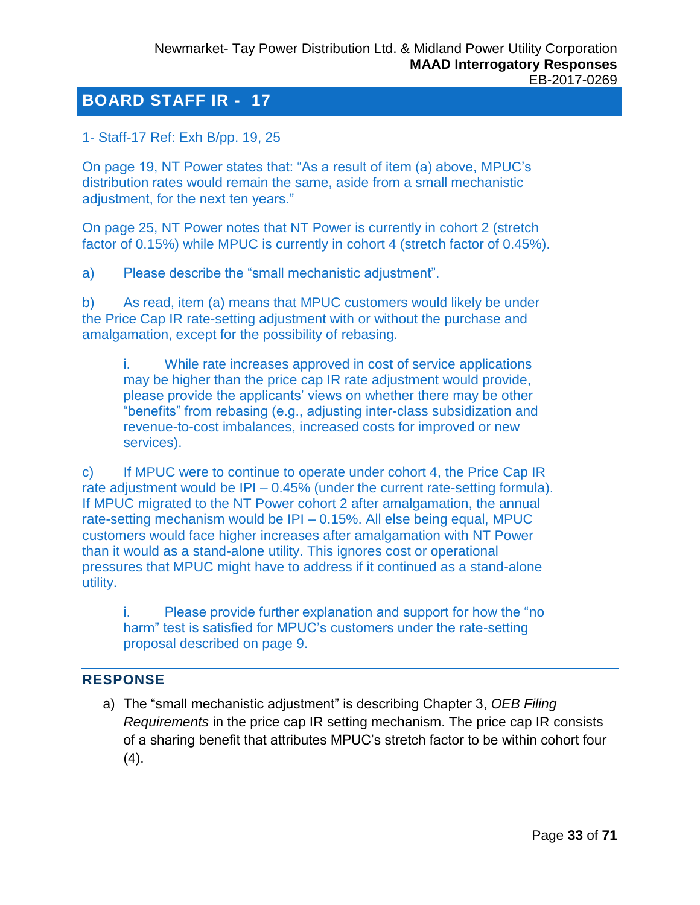<span id="page-32-0"></span>1- Staff-17 Ref: Exh B/pp. 19, 25

On page 19, NT Power states that: "As a result of item (a) above, MPUC's distribution rates would remain the same, aside from a small mechanistic adjustment, for the next ten years."

On page 25, NT Power notes that NT Power is currently in cohort 2 (stretch factor of 0.15%) while MPUC is currently in cohort 4 (stretch factor of 0.45%).

a) Please describe the "small mechanistic adjustment".

b) As read, item (a) means that MPUC customers would likely be under the Price Cap IR rate-setting adjustment with or without the purchase and amalgamation, except for the possibility of rebasing.

i. While rate increases approved in cost of service applications may be higher than the price cap IR rate adjustment would provide, please provide the applicants' views on whether there may be other "benefits" from rebasing (e.g., adjusting inter-class subsidization and revenue-to-cost imbalances, increased costs for improved or new services).

c) If MPUC were to continue to operate under cohort 4, the Price Cap IR rate adjustment would be IPI – 0.45% (under the current rate-setting formula). If MPUC migrated to the NT Power cohort 2 after amalgamation, the annual rate-setting mechanism would be IPI – 0.15%. All else being equal, MPUC customers would face higher increases after amalgamation with NT Power than it would as a stand-alone utility. This ignores cost or operational pressures that MPUC might have to address if it continued as a stand-alone utility.

i. Please provide further explanation and support for how the "no harm" test is satisfied for MPUC's customers under the rate-setting proposal described on page 9.

## **RESPONSE**

a) The "small mechanistic adjustment" is describing Chapter 3, *OEB Filing Requirements* in the price cap IR setting mechanism. The price cap IR consists of a sharing benefit that attributes MPUC's stretch factor to be within cohort four (4).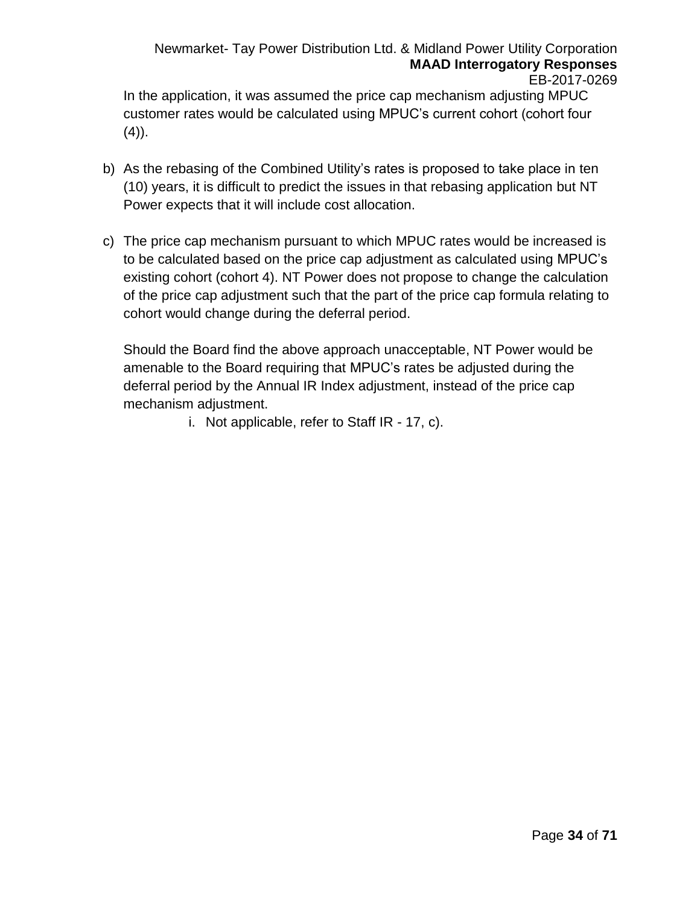#### Newmarket- Tay Power Distribution Ltd. & Midland Power Utility Corporation **MAAD Interrogatory Responses** EB-2017-0269

In the application, it was assumed the price cap mechanism adjusting MPUC customer rates would be calculated using MPUC's current cohort (cohort four  $(4)$ ).

- b) As the rebasing of the Combined Utility's rates is proposed to take place in ten (10) years, it is difficult to predict the issues in that rebasing application but NT Power expects that it will include cost allocation.
- c) The price cap mechanism pursuant to which MPUC rates would be increased is to be calculated based on the price cap adjustment as calculated using MPUC's existing cohort (cohort 4). NT Power does not propose to change the calculation of the price cap adjustment such that the part of the price cap formula relating to cohort would change during the deferral period.

Should the Board find the above approach unacceptable, NT Power would be amenable to the Board requiring that MPUC's rates be adjusted during the deferral period by the Annual IR Index adjustment, instead of the price cap mechanism adjustment.

i. Not applicable, refer to Staff IR - 17, c).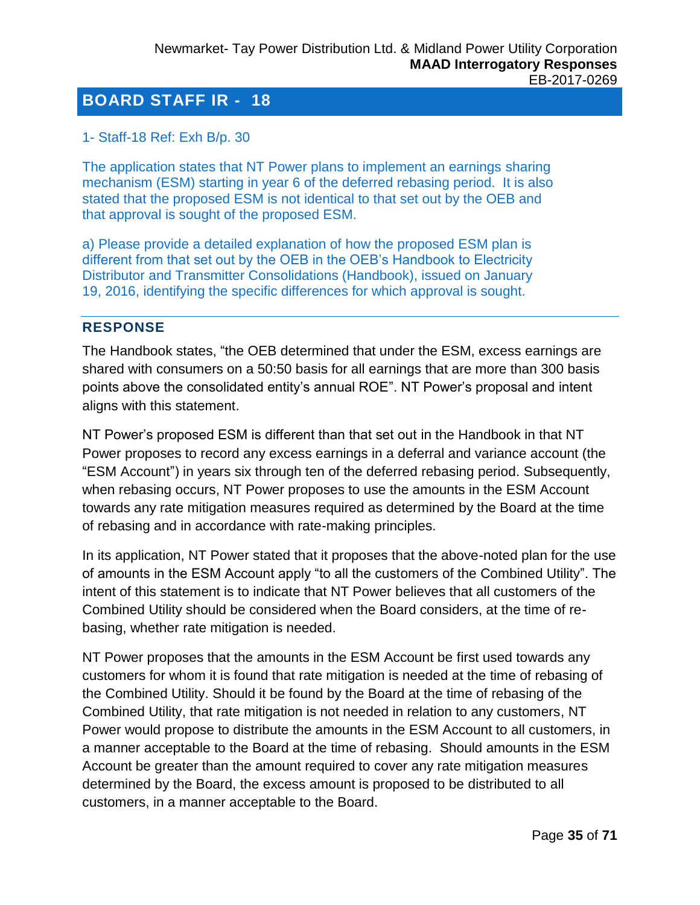## <span id="page-34-0"></span>1- Staff-18 Ref: Exh B/p. 30

The application states that NT Power plans to implement an earnings sharing mechanism (ESM) starting in year 6 of the deferred rebasing period. It is also stated that the proposed ESM is not identical to that set out by the OEB and that approval is sought of the proposed ESM.

a) Please provide a detailed explanation of how the proposed ESM plan is different from that set out by the OEB in the OEB's Handbook to Electricity Distributor and Transmitter Consolidations (Handbook), issued on January 19, 2016, identifying the specific differences for which approval is sought.

## **RESPONSE**

The Handbook states, "the OEB determined that under the ESM, excess earnings are shared with consumers on a 50:50 basis for all earnings that are more than 300 basis points above the consolidated entity's annual ROE". NT Power's proposal and intent aligns with this statement.

NT Power's proposed ESM is different than that set out in the Handbook in that NT Power proposes to record any excess earnings in a deferral and variance account (the "ESM Account") in years six through ten of the deferred rebasing period. Subsequently, when rebasing occurs, NT Power proposes to use the amounts in the ESM Account towards any rate mitigation measures required as determined by the Board at the time of rebasing and in accordance with rate-making principles.

In its application, NT Power stated that it proposes that the above-noted plan for the use of amounts in the ESM Account apply "to all the customers of the Combined Utility". The intent of this statement is to indicate that NT Power believes that all customers of the Combined Utility should be considered when the Board considers, at the time of rebasing, whether rate mitigation is needed.

NT Power proposes that the amounts in the ESM Account be first used towards any customers for whom it is found that rate mitigation is needed at the time of rebasing of the Combined Utility. Should it be found by the Board at the time of rebasing of the Combined Utility, that rate mitigation is not needed in relation to any customers, NT Power would propose to distribute the amounts in the ESM Account to all customers, in a manner acceptable to the Board at the time of rebasing. Should amounts in the ESM Account be greater than the amount required to cover any rate mitigation measures determined by the Board, the excess amount is proposed to be distributed to all customers, in a manner acceptable to the Board.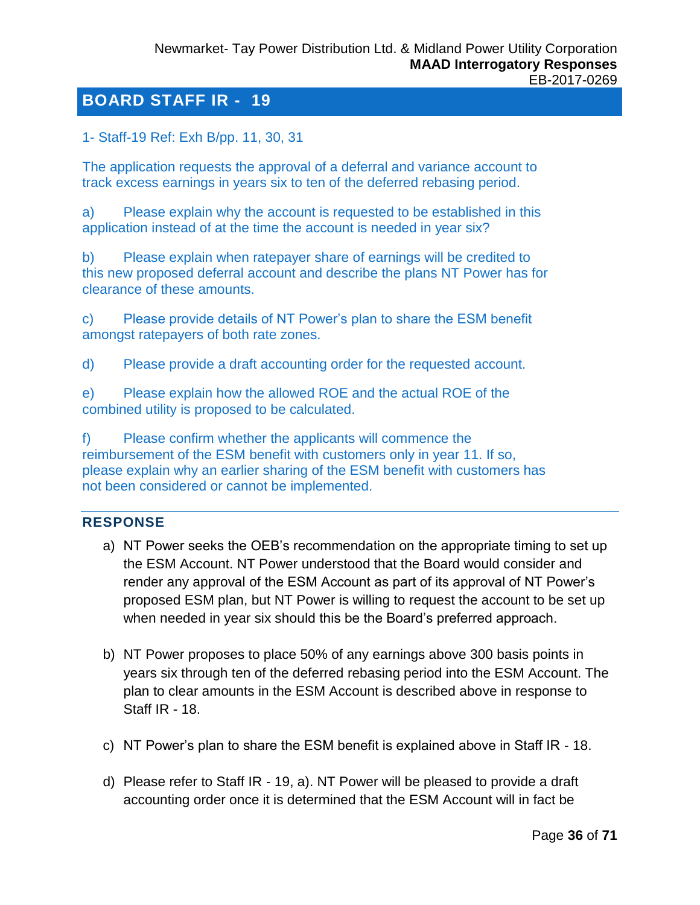<span id="page-35-0"></span>1- Staff-19 Ref: Exh B/pp. 11, 30, 31

The application requests the approval of a deferral and variance account to track excess earnings in years six to ten of the deferred rebasing period.

a) Please explain why the account is requested to be established in this application instead of at the time the account is needed in year six?

b) Please explain when ratepayer share of earnings will be credited to this new proposed deferral account and describe the plans NT Power has for clearance of these amounts.

c) Please provide details of NT Power's plan to share the ESM benefit amongst ratepayers of both rate zones.

d) Please provide a draft accounting order for the requested account.

e) Please explain how the allowed ROE and the actual ROE of the combined utility is proposed to be calculated.

f) Please confirm whether the applicants will commence the reimbursement of the ESM benefit with customers only in year 11. If so, please explain why an earlier sharing of the ESM benefit with customers has not been considered or cannot be implemented.

#### **RESPONSE**

- a) NT Power seeks the OEB's recommendation on the appropriate timing to set up the ESM Account. NT Power understood that the Board would consider and render any approval of the ESM Account as part of its approval of NT Power's proposed ESM plan, but NT Power is willing to request the account to be set up when needed in year six should this be the Board's preferred approach.
- b) NT Power proposes to place 50% of any earnings above 300 basis points in years six through ten of the deferred rebasing period into the ESM Account. The plan to clear amounts in the ESM Account is described above in response to Staff IR - 18.
- c) NT Power's plan to share the ESM benefit is explained above in Staff IR 18.
- d) Please refer to Staff IR 19, a). NT Power will be pleased to provide a draft accounting order once it is determined that the ESM Account will in fact be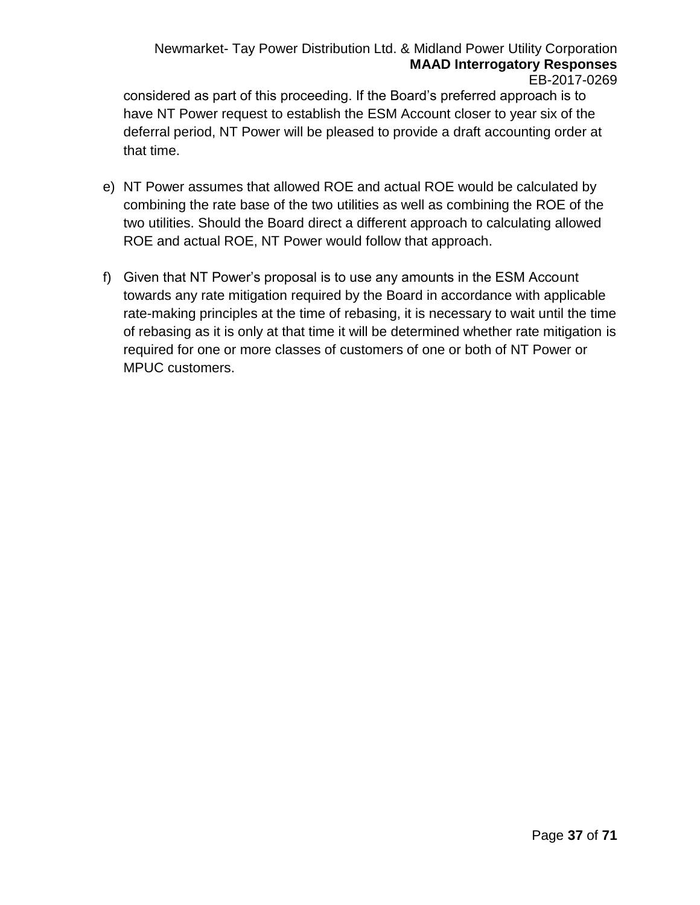#### Newmarket- Tay Power Distribution Ltd. & Midland Power Utility Corporation **MAAD Interrogatory Responses** EB-2017-0269

considered as part of this proceeding. If the Board's preferred approach is to have NT Power request to establish the ESM Account closer to year six of the deferral period, NT Power will be pleased to provide a draft accounting order at that time.

- e) NT Power assumes that allowed ROE and actual ROE would be calculated by combining the rate base of the two utilities as well as combining the ROE of the two utilities. Should the Board direct a different approach to calculating allowed ROE and actual ROE, NT Power would follow that approach.
- f) Given that NT Power's proposal is to use any amounts in the ESM Account towards any rate mitigation required by the Board in accordance with applicable rate-making principles at the time of rebasing, it is necessary to wait until the time of rebasing as it is only at that time it will be determined whether rate mitigation is required for one or more classes of customers of one or both of NT Power or MPUC customers.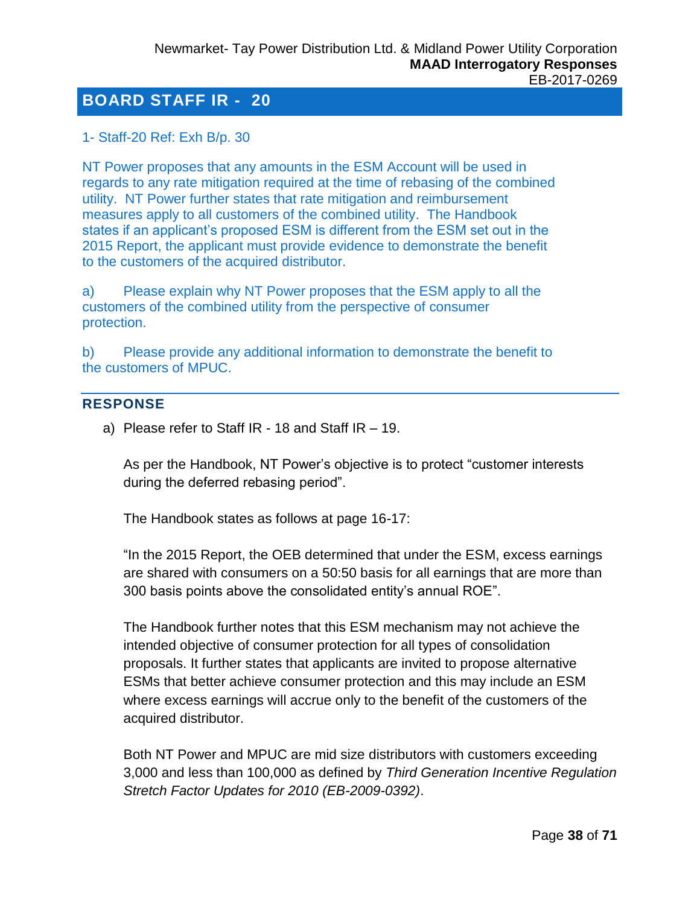<span id="page-37-0"></span>1- Staff-20 Ref: Exh B/p. 30

NT Power proposes that any amounts in the ESM Account will be used in regards to any rate mitigation required at the time of rebasing of the combined utility. NT Power further states that rate mitigation and reimbursement measures apply to all customers of the combined utility. The Handbook states if an applicant's proposed ESM is different from the ESM set out in the 2015 Report, the applicant must provide evidence to demonstrate the benefit to the customers of the acquired distributor.

a) Please explain why NT Power proposes that the ESM apply to all the customers of the combined utility from the perspective of consumer protection.

b) Please provide any additional information to demonstrate the benefit to the customers of MPUC.

## **RESPONSE**

a) Please refer to Staff IR - 18 and Staff IR – 19.

As per the Handbook, NT Power's objective is to protect "customer interests during the deferred rebasing period".

The Handbook states as follows at page 16-17:

"In the 2015 Report, the OEB determined that under the ESM, excess earnings are shared with consumers on a 50:50 basis for all earnings that are more than 300 basis points above the consolidated entity's annual ROE".

The Handbook further notes that this ESM mechanism may not achieve the intended objective of consumer protection for all types of consolidation proposals. It further states that applicants are invited to propose alternative ESMs that better achieve consumer protection and this may include an ESM where excess earnings will accrue only to the benefit of the customers of the acquired distributor.

Both NT Power and MPUC are mid size distributors with customers exceeding 3,000 and less than 100,000 as defined by *Third Generation Incentive Regulation Stretch Factor Updates for 2010 (EB-2009-0392)*.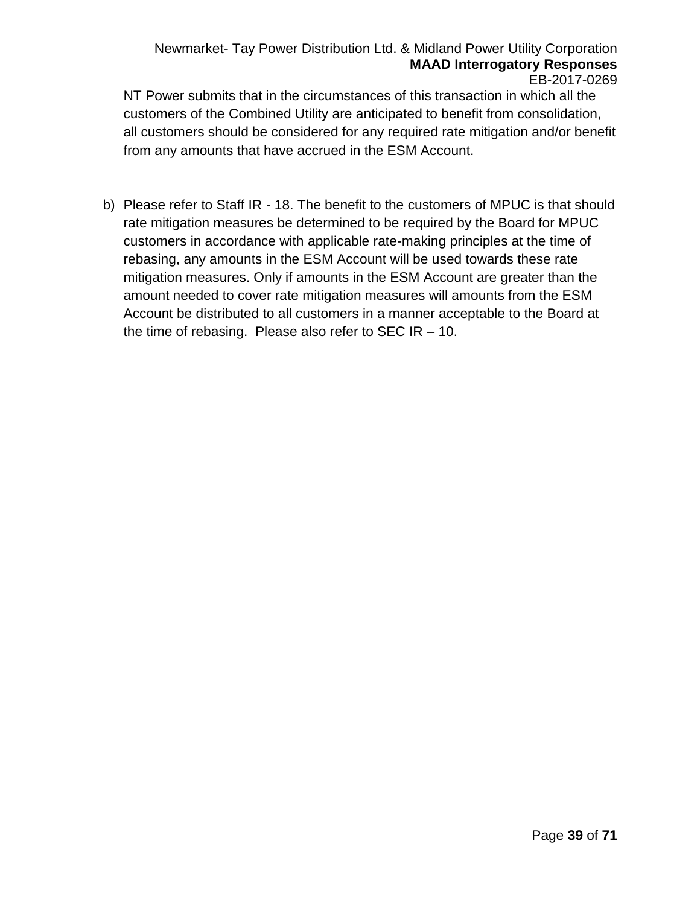#### Newmarket- Tay Power Distribution Ltd. & Midland Power Utility Corporation **MAAD Interrogatory Responses** EB-2017-0269

NT Power submits that in the circumstances of this transaction in which all the customers of the Combined Utility are anticipated to benefit from consolidation, all customers should be considered for any required rate mitigation and/or benefit from any amounts that have accrued in the ESM Account.

b) Please refer to Staff IR - 18. The benefit to the customers of MPUC is that should rate mitigation measures be determined to be required by the Board for MPUC customers in accordance with applicable rate-making principles at the time of rebasing, any amounts in the ESM Account will be used towards these rate mitigation measures. Only if amounts in the ESM Account are greater than the amount needed to cover rate mitigation measures will amounts from the ESM Account be distributed to all customers in a manner acceptable to the Board at the time of rebasing. Please also refer to SEC IR  $-10$ .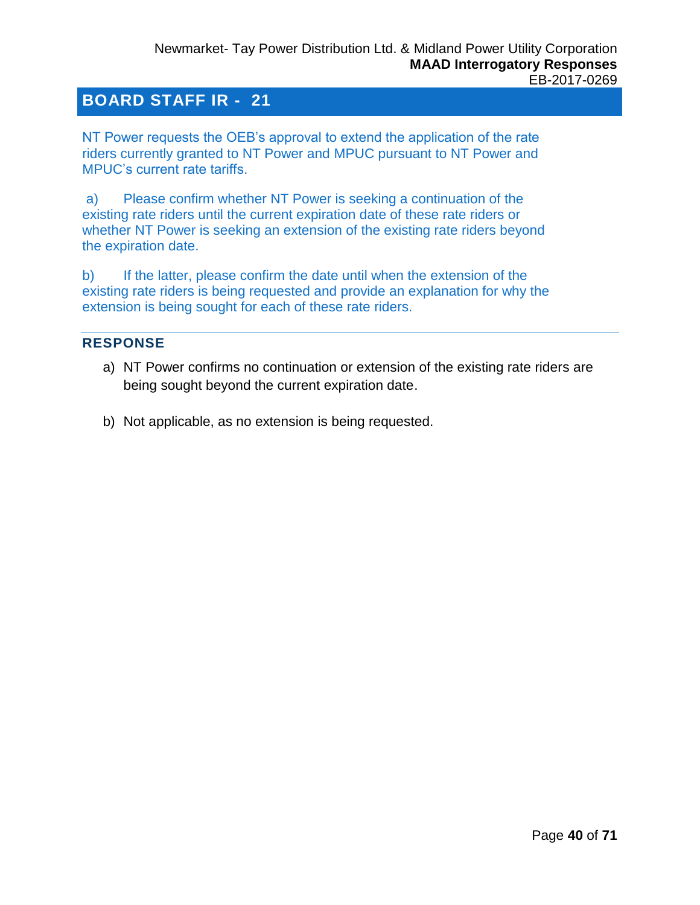<span id="page-39-0"></span>NT Power requests the OEB's approval to extend the application of the rate riders currently granted to NT Power and MPUC pursuant to NT Power and MPUC's current rate tariffs.

a) Please confirm whether NT Power is seeking a continuation of the existing rate riders until the current expiration date of these rate riders or whether NT Power is seeking an extension of the existing rate riders beyond the expiration date.

b) If the latter, please confirm the date until when the extension of the existing rate riders is being requested and provide an explanation for why the extension is being sought for each of these rate riders.

## **RESPONSE**

- a) NT Power confirms no continuation or extension of the existing rate riders are being sought beyond the current expiration date.
- b) Not applicable, as no extension is being requested.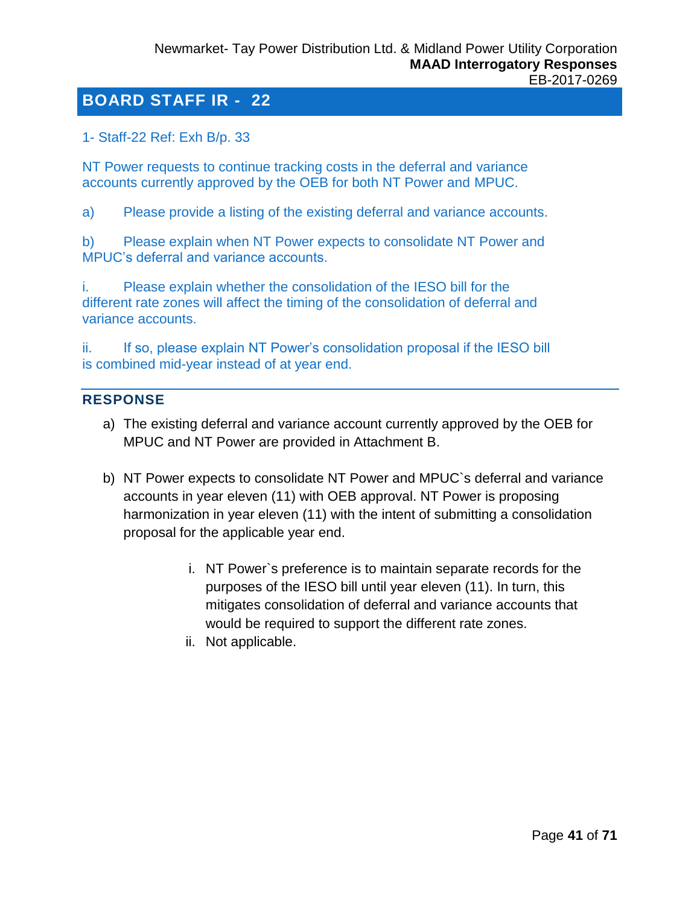<span id="page-40-0"></span>1- Staff-22 Ref: Exh B/p. 33

NT Power requests to continue tracking costs in the deferral and variance accounts currently approved by the OEB for both NT Power and MPUC.

a) Please provide a listing of the existing deferral and variance accounts.

b) Please explain when NT Power expects to consolidate NT Power and MPUC's deferral and variance accounts.

i. Please explain whether the consolidation of the IESO bill for the different rate zones will affect the timing of the consolidation of deferral and variance accounts.

ii. If so, please explain NT Power's consolidation proposal if the IESO bill is combined mid-year instead of at year end.

## **RESPONSE**

- a) The existing deferral and variance account currently approved by the OEB for MPUC and NT Power are provided in Attachment B.
- b) NT Power expects to consolidate NT Power and MPUC`s deferral and variance accounts in year eleven (11) with OEB approval. NT Power is proposing harmonization in year eleven (11) with the intent of submitting a consolidation proposal for the applicable year end.
	- i. NT Power`s preference is to maintain separate records for the purposes of the IESO bill until year eleven (11). In turn, this mitigates consolidation of deferral and variance accounts that would be required to support the different rate zones.
	- ii. Not applicable.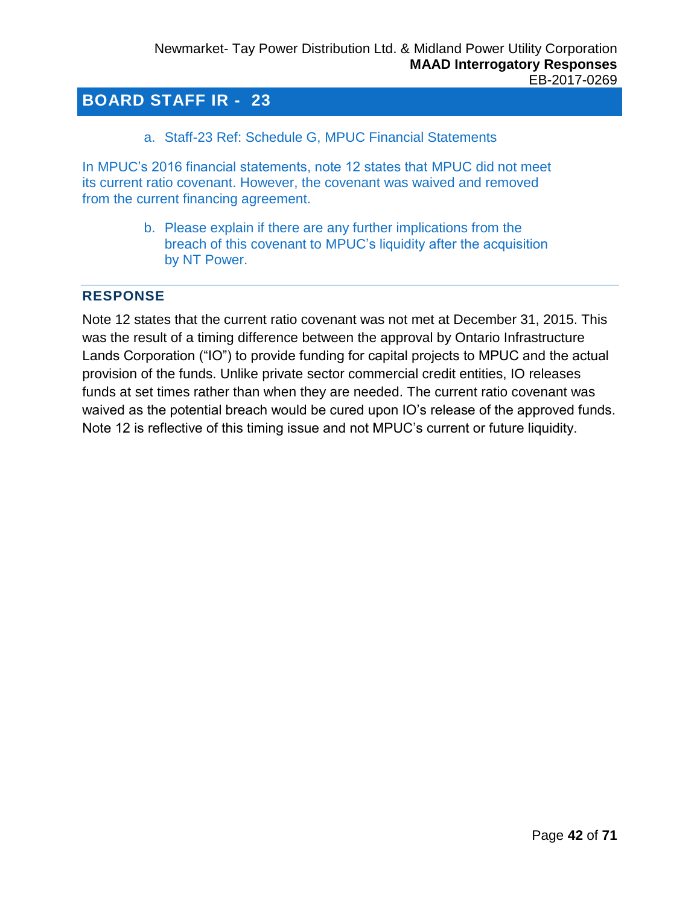a. Staff-23 Ref: Schedule G, MPUC Financial Statements

<span id="page-41-0"></span>In MPUC's 2016 financial statements, note 12 states that MPUC did not meet its current ratio covenant. However, the covenant was waived and removed from the current financing agreement.

> b. Please explain if there are any further implications from the breach of this covenant to MPUC's liquidity after the acquisition by NT Power.

#### **RESPONSE**

Note 12 states that the current ratio covenant was not met at December 31, 2015. This was the result of a timing difference between the approval by Ontario Infrastructure Lands Corporation ("IO") to provide funding for capital projects to MPUC and the actual provision of the funds. Unlike private sector commercial credit entities, IO releases funds at set times rather than when they are needed. The current ratio covenant was waived as the potential breach would be cured upon IO's release of the approved funds. Note 12 is reflective of this timing issue and not MPUC's current or future liquidity.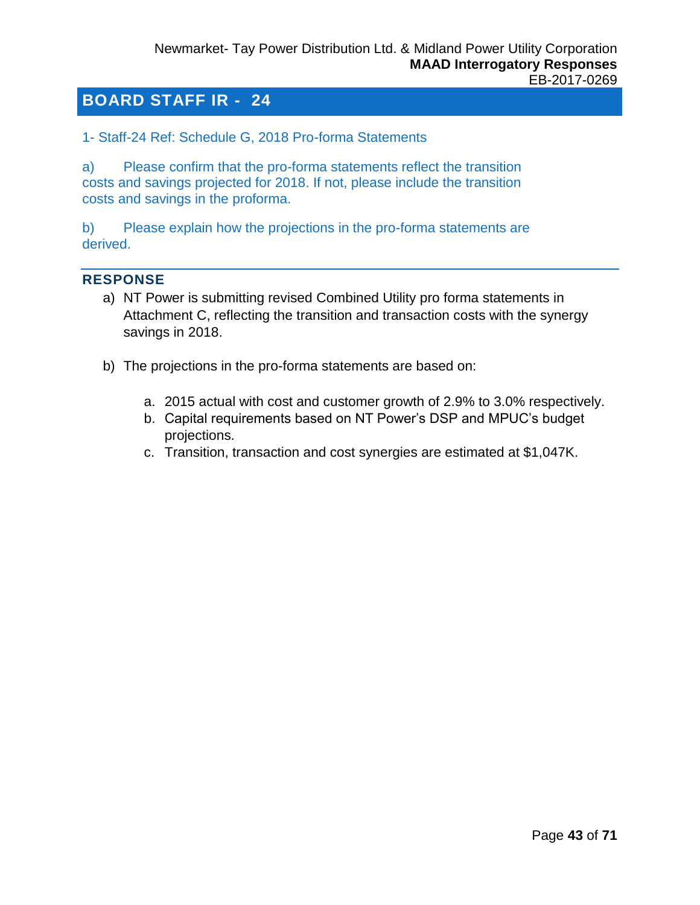<span id="page-42-0"></span>1- Staff-24 Ref: Schedule G, 2018 Pro-forma Statements

a) Please confirm that the pro-forma statements reflect the transition costs and savings projected for 2018. If not, please include the transition costs and savings in the proforma.

b) Please explain how the projections in the pro-forma statements are derived.

#### **RESPONSE**

- a) NT Power is submitting revised Combined Utility pro forma statements in Attachment C, reflecting the transition and transaction costs with the synergy savings in 2018.
- b) The projections in the pro-forma statements are based on:
	- a. 2015 actual with cost and customer growth of 2.9% to 3.0% respectively.
	- b. Capital requirements based on NT Power's DSP and MPUC's budget projections.
	- c. Transition, transaction and cost synergies are estimated at \$1,047K.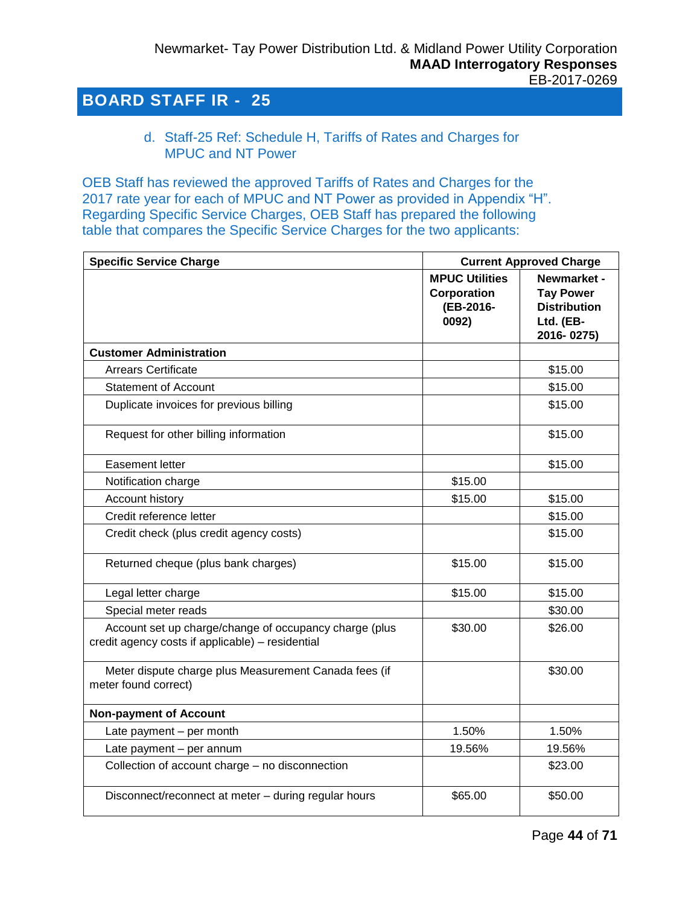<span id="page-43-0"></span>d. Staff-25 Ref: Schedule H, Tariffs of Rates and Charges for MPUC and NT Power

OEB Staff has reviewed the approved Tariffs of Rates and Charges for the 2017 rate year for each of MPUC and NT Power as provided in Appendix "H". Regarding Specific Service Charges, OEB Staff has prepared the following table that compares the Specific Service Charges for the two applicants:

| <b>Specific Service Charge</b>                                                                             |                                                            | <b>Current Approved Charge</b>                                                    |
|------------------------------------------------------------------------------------------------------------|------------------------------------------------------------|-----------------------------------------------------------------------------------|
|                                                                                                            | <b>MPUC Utilities</b><br>Corporation<br>(EB-2016-<br>0092) | Newmarket -<br><b>Tay Power</b><br><b>Distribution</b><br>Ltd. (EB-<br>2016-0275) |
| <b>Customer Administration</b>                                                                             |                                                            |                                                                                   |
| <b>Arrears Certificate</b>                                                                                 |                                                            | \$15.00                                                                           |
| <b>Statement of Account</b>                                                                                |                                                            | \$15.00                                                                           |
| Duplicate invoices for previous billing                                                                    |                                                            | \$15.00                                                                           |
| Request for other billing information                                                                      |                                                            | \$15.00                                                                           |
| Easement letter                                                                                            |                                                            | \$15.00                                                                           |
| Notification charge                                                                                        | \$15.00                                                    |                                                                                   |
| Account history                                                                                            | \$15.00                                                    | \$15.00                                                                           |
| Credit reference letter                                                                                    |                                                            | \$15.00                                                                           |
| Credit check (plus credit agency costs)                                                                    |                                                            | \$15.00                                                                           |
| Returned cheque (plus bank charges)                                                                        | \$15.00                                                    | \$15.00                                                                           |
| Legal letter charge                                                                                        | \$15.00                                                    | \$15.00                                                                           |
| Special meter reads                                                                                        |                                                            | \$30.00                                                                           |
| Account set up charge/change of occupancy charge (plus<br>credit agency costs if applicable) - residential | \$30.00                                                    | \$26.00                                                                           |
| Meter dispute charge plus Measurement Canada fees (if<br>meter found correct)                              |                                                            | \$30.00                                                                           |
| <b>Non-payment of Account</b>                                                                              |                                                            |                                                                                   |
| Late payment - per month                                                                                   | 1.50%                                                      | 1.50%                                                                             |
| Late payment - per annum                                                                                   | 19.56%                                                     | 19.56%                                                                            |
| Collection of account charge - no disconnection                                                            |                                                            | \$23.00                                                                           |
| Disconnect/reconnect at meter - during regular hours                                                       | \$65.00                                                    | \$50.00                                                                           |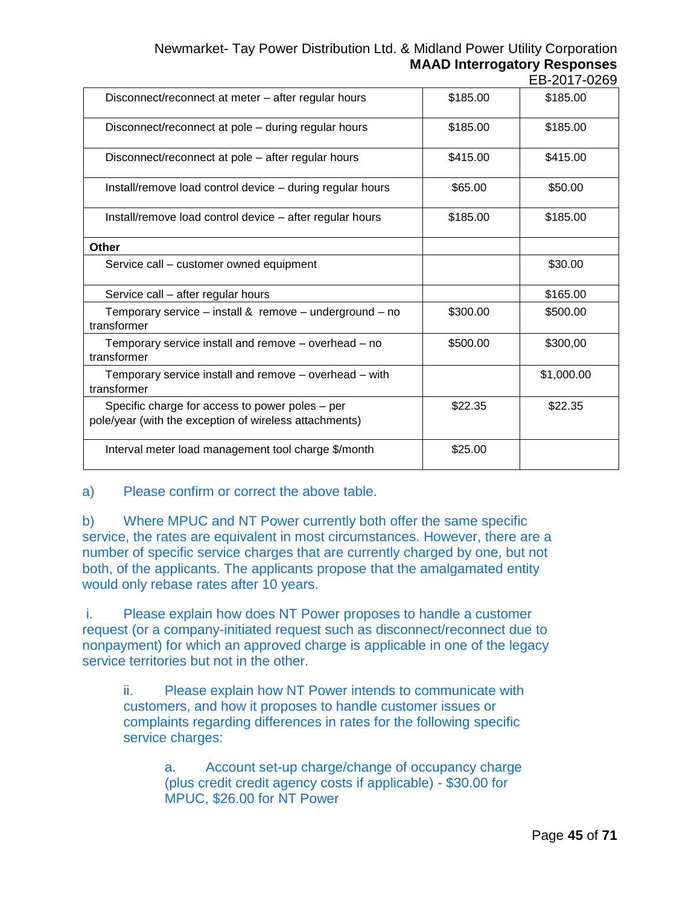#### Newmarket- Tay Power Distribution Ltd. & Midland Power Utility Corporation **MAAD Interrogatory Responses** EB-2017-0269

| Disconnect/reconnect at meter - after regular hours                                                       | \$185.00 | \$185.00   |
|-----------------------------------------------------------------------------------------------------------|----------|------------|
| Disconnect/reconnect at pole - during regular hours                                                       | \$185.00 | \$185.00   |
| Disconnect/reconnect at pole – after regular hours                                                        | \$415.00 | \$415.00   |
| Install/remove load control device - during regular hours                                                 | \$65.00  | \$50.00    |
| Install/remove load control device - after regular hours                                                  | \$185.00 | \$185.00   |
| Other                                                                                                     |          |            |
| Service call – customer owned equipment                                                                   |          | \$30.00    |
| Service call - after regular hours                                                                        |          | \$165.00   |
| Temporary service – install & remove – underground – no<br>transformer                                    | \$300.00 | \$500.00   |
| Temporary service install and remove – overhead – no<br>transformer                                       | \$500.00 | \$300,00   |
| Temporary service install and remove – overhead – with<br>transformer                                     |          | \$1,000.00 |
| Specific charge for access to power poles – per<br>pole/year (with the exception of wireless attachments) | \$22.35  | \$22.35    |
| Interval meter load management tool charge \$/month                                                       | \$25.00  |            |

#### a) Please confirm or correct the above table.

b) Where MPUC and NT Power currently both offer the same specific service, the rates are equivalent in most circumstances. However, there are a number of specific service charges that are currently charged by one, but not both, of the applicants. The applicants propose that the amalgamated entity would only rebase rates after 10 years.

i. Please explain how does NT Power proposes to handle a customer request (or a company-initiated request such as disconnect/reconnect due to nonpayment) for which an approved charge is applicable in one of the legacy service territories but not in the other.

ii. Please explain how NT Power intends to communicate with customers, and how it proposes to handle customer issues or complaints regarding differences in rates for the following specific service charges:

a. Account set-up charge/change of occupancy charge (plus credit credit agency costs if applicable) - \$30.00 for MPUC, \$26.00 for NT Power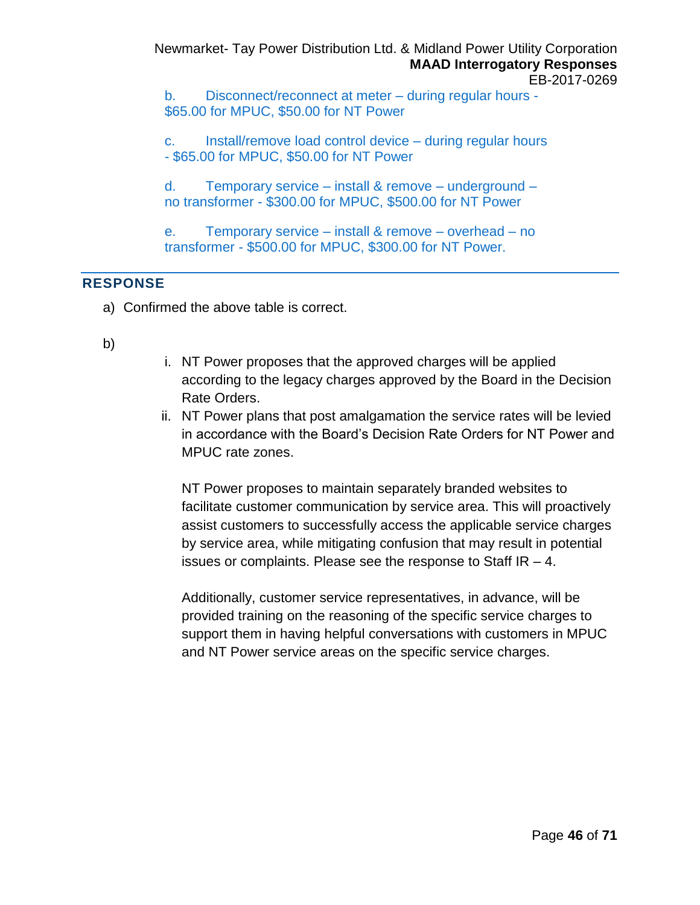Newmarket- Tay Power Distribution Ltd. & Midland Power Utility Corporation **MAAD Interrogatory Responses** EB-2017-0269

b. Disconnect/reconnect at meter – during regular hours - \$65.00 for MPUC, \$50.00 for NT Power

c. Install/remove load control device – during regular hours - \$65.00 for MPUC, \$50.00 for NT Power

d. Temporary service – install & remove – underground – no transformer - \$300.00 for MPUC, \$500.00 for NT Power

e. Temporary service – install & remove – overhead – no transformer - \$500.00 for MPUC, \$300.00 for NT Power.

## **RESPONSE**

- a) Confirmed the above table is correct.
- b)
- i. NT Power proposes that the approved charges will be applied according to the legacy charges approved by the Board in the Decision Rate Orders.
- ii. NT Power plans that post amalgamation the service rates will be levied in accordance with the Board's Decision Rate Orders for NT Power and MPUC rate zones.

NT Power proposes to maintain separately branded websites to facilitate customer communication by service area. This will proactively assist customers to successfully access the applicable service charges by service area, while mitigating confusion that may result in potential issues or complaints. Please see the response to Staff IR – 4.

Additionally, customer service representatives, in advance, will be provided training on the reasoning of the specific service charges to support them in having helpful conversations with customers in MPUC and NT Power service areas on the specific service charges.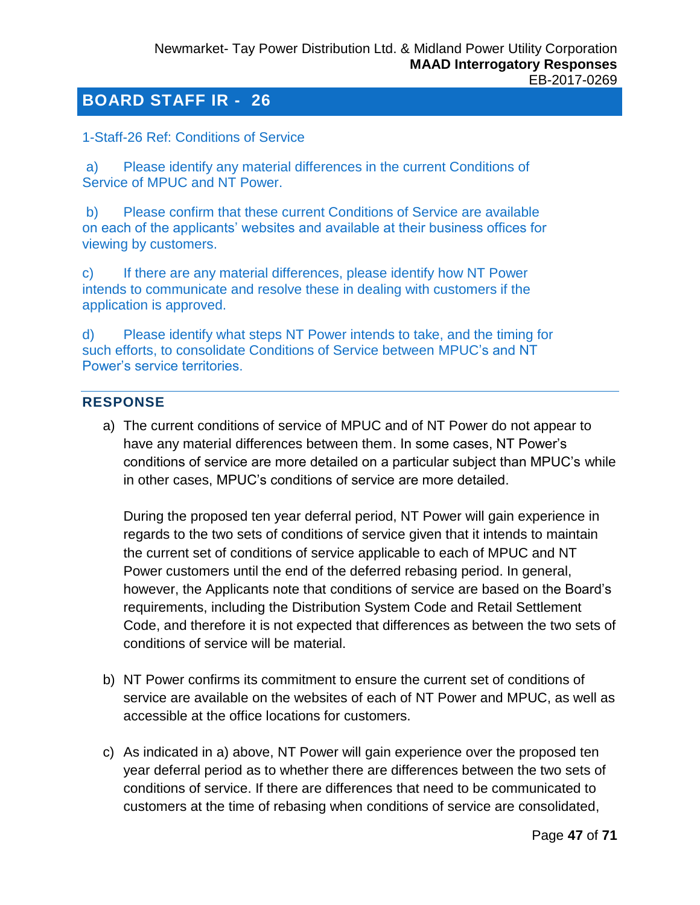<span id="page-46-0"></span>1-Staff-26 Ref: Conditions of Service

a) Please identify any material differences in the current Conditions of Service of MPUC and NT Power.

b) Please confirm that these current Conditions of Service are available on each of the applicants' websites and available at their business offices for viewing by customers.

c) If there are any material differences, please identify how NT Power intends to communicate and resolve these in dealing with customers if the application is approved.

d) Please identify what steps NT Power intends to take, and the timing for such efforts, to consolidate Conditions of Service between MPUC's and NT Power's service territories.

## **RESPONSE**

a) The current conditions of service of MPUC and of NT Power do not appear to have any material differences between them. In some cases, NT Power's conditions of service are more detailed on a particular subject than MPUC's while in other cases, MPUC's conditions of service are more detailed.

During the proposed ten year deferral period, NT Power will gain experience in regards to the two sets of conditions of service given that it intends to maintain the current set of conditions of service applicable to each of MPUC and NT Power customers until the end of the deferred rebasing period. In general, however, the Applicants note that conditions of service are based on the Board's requirements, including the Distribution System Code and Retail Settlement Code, and therefore it is not expected that differences as between the two sets of conditions of service will be material.

- b) NT Power confirms its commitment to ensure the current set of conditions of service are available on the websites of each of NT Power and MPUC, as well as accessible at the office locations for customers.
- c) As indicated in a) above, NT Power will gain experience over the proposed ten year deferral period as to whether there are differences between the two sets of conditions of service. If there are differences that need to be communicated to customers at the time of rebasing when conditions of service are consolidated,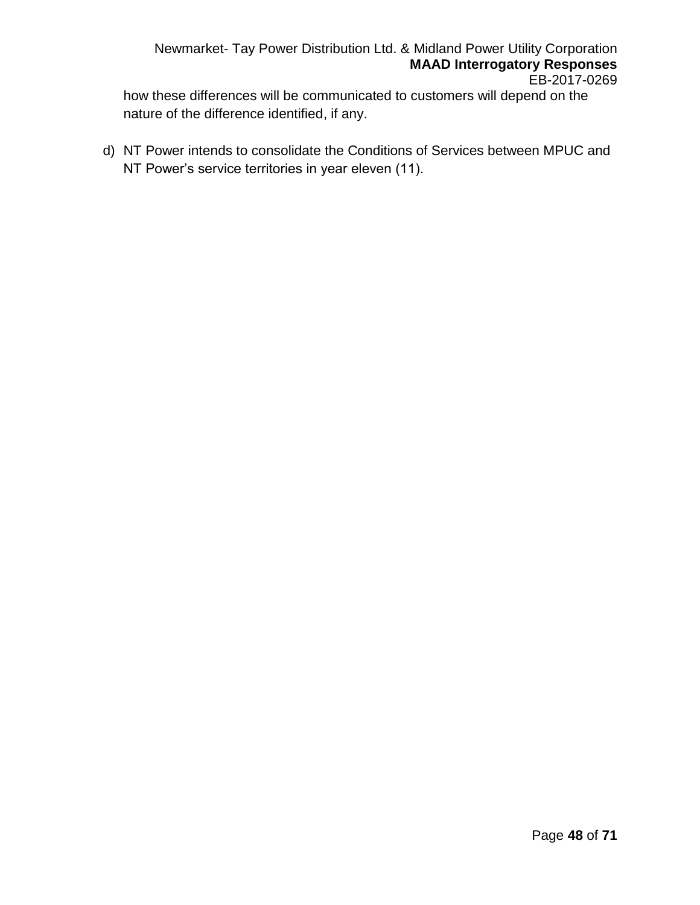Newmarket- Tay Power Distribution Ltd. & Midland Power Utility Corporation **MAAD Interrogatory Responses** EB-2017-0269

how these differences will be communicated to customers will depend on the nature of the difference identified, if any.

d) NT Power intends to consolidate the Conditions of Services between MPUC and NT Power's service territories in year eleven (11).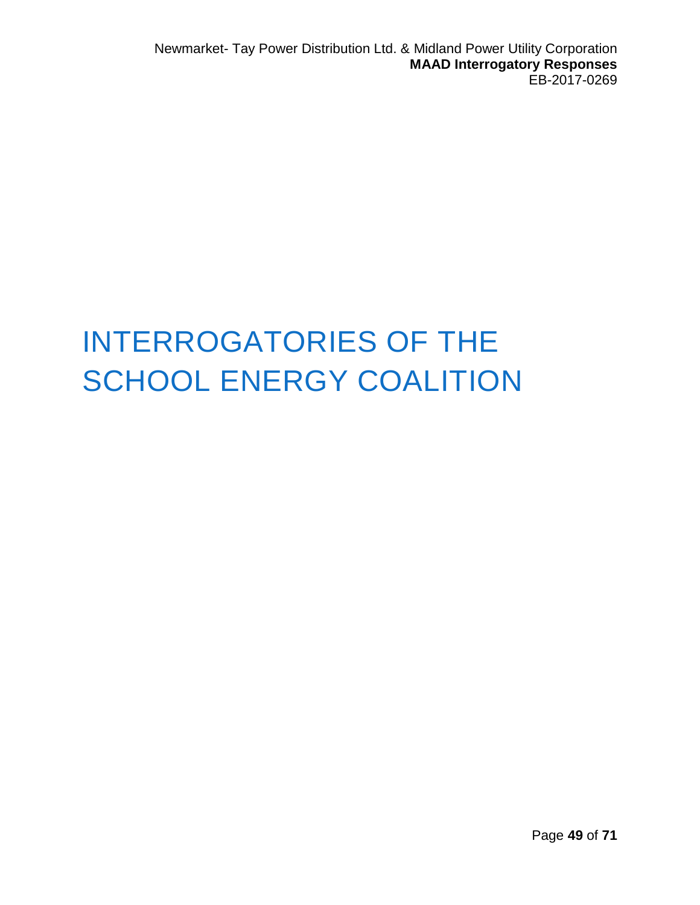## INTERROGATORIES OF THE SCHOOL ENERGY COALITION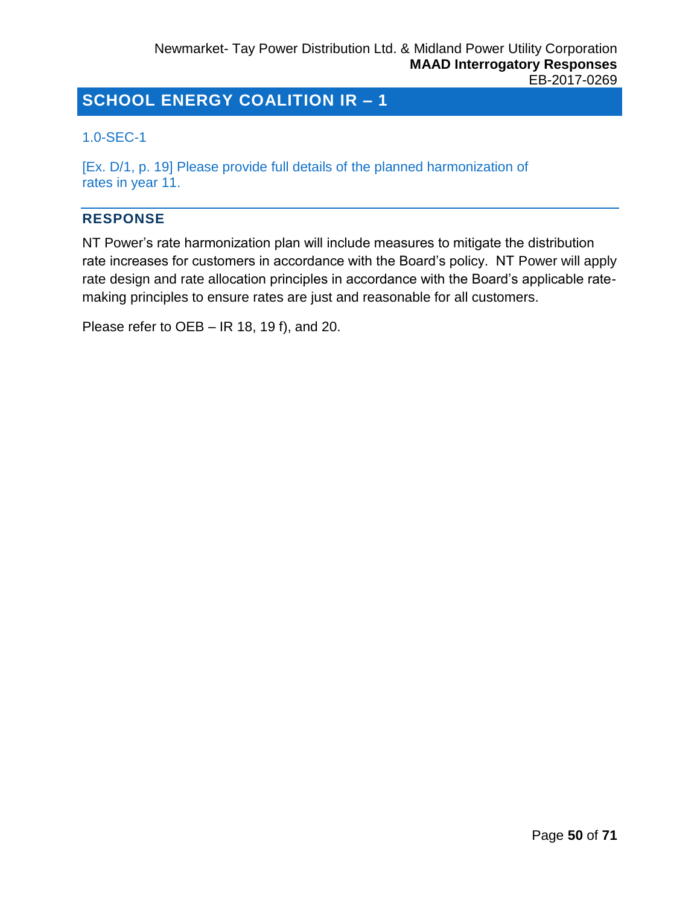## <span id="page-49-0"></span>1.0-SEC-1

[Ex. D/1, p. 19] Please provide full details of the planned harmonization of rates in year 11.

## **RESPONSE**

NT Power's rate harmonization plan will include measures to mitigate the distribution rate increases for customers in accordance with the Board's policy. NT Power will apply rate design and rate allocation principles in accordance with the Board's applicable ratemaking principles to ensure rates are just and reasonable for all customers.

Please refer to OEB – IR 18, 19 f), and 20.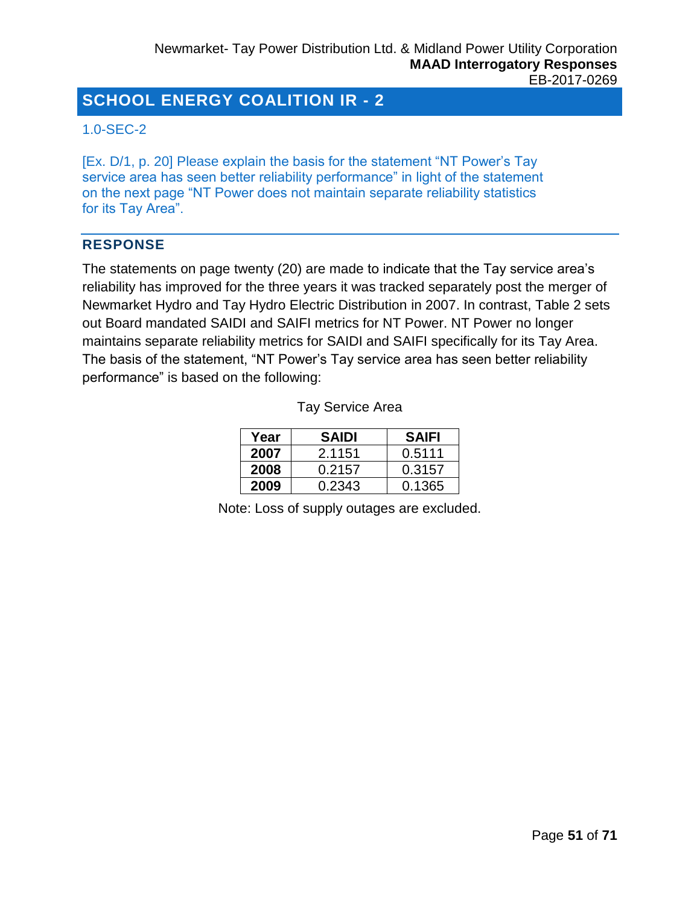### <span id="page-50-0"></span>1.0-SEC-2

[Ex. D/1, p. 20] Please explain the basis for the statement "NT Power's Tay service area has seen better reliability performance" in light of the statement on the next page "NT Power does not maintain separate reliability statistics for its Tay Area".

#### **RESPONSE**

The statements on page twenty (20) are made to indicate that the Tay service area's reliability has improved for the three years it was tracked separately post the merger of Newmarket Hydro and Tay Hydro Electric Distribution in 2007. In contrast, Table 2 sets out Board mandated SAIDI and SAIFI metrics for NT Power. NT Power no longer maintains separate reliability metrics for SAIDI and SAIFI specifically for its Tay Area. The basis of the statement, "NT Power's Tay service area has seen better reliability performance" is based on the following:

| Year | <b>SAIDI</b> | <b>SAIFI</b> |
|------|--------------|--------------|
| 2007 | 2.1151       | 0.5111       |
| 2008 | 0.2157       | 0.3157       |
| 2009 | 0.2343       | 0.1365       |

Tay Service Area

Note: Loss of supply outages are excluded.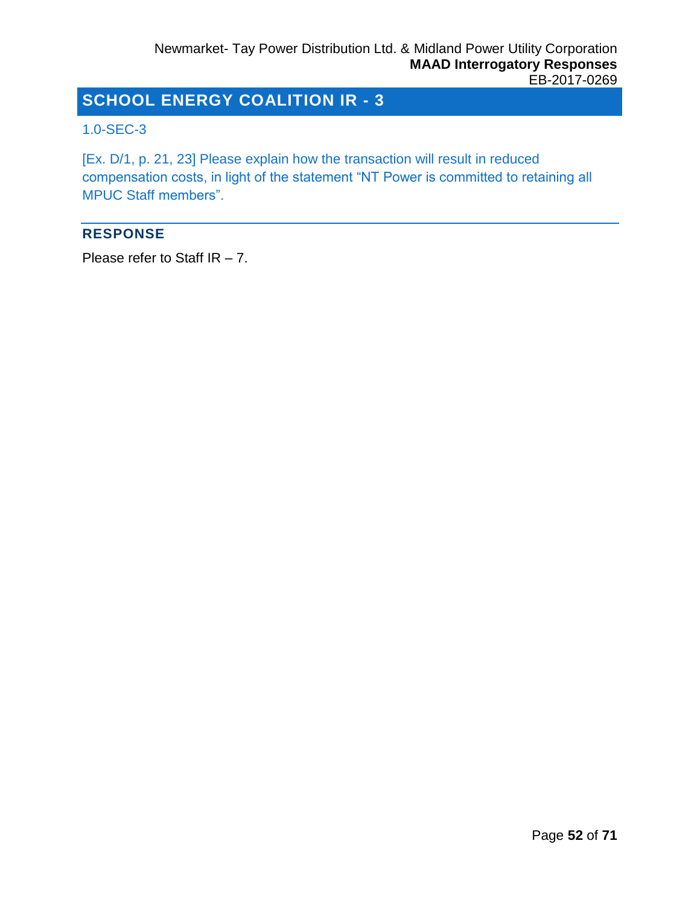### <span id="page-51-0"></span>1.0-SEC-3

[Ex. D/1, p. 21, 23] Please explain how the transaction will result in reduced compensation costs, in light of the statement "NT Power is committed to retaining all MPUC Staff members".

### **RESPONSE**

Please refer to Staff IR – 7.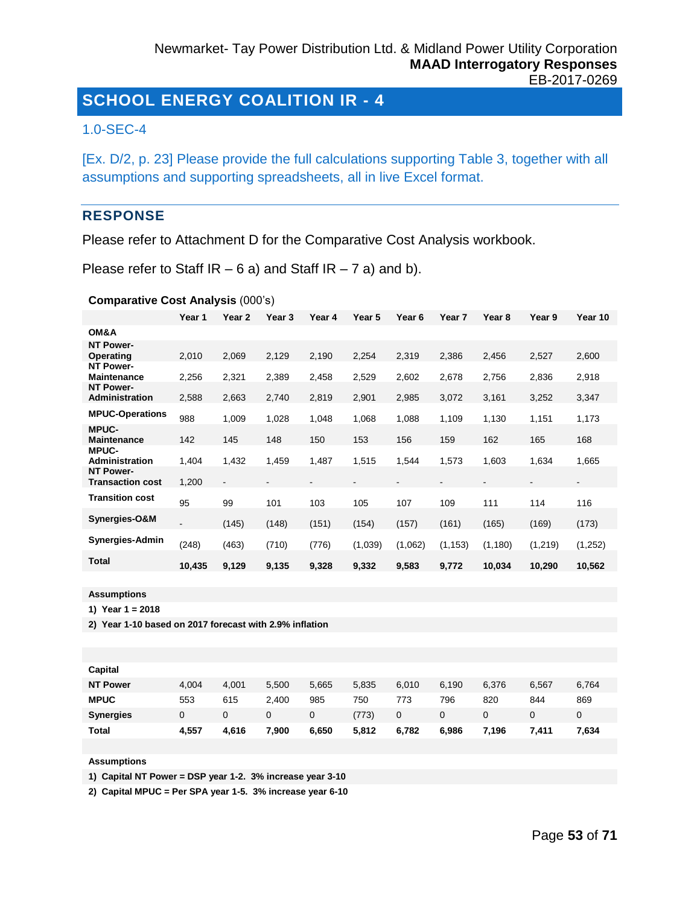#### <span id="page-52-0"></span>1.0-SEC-4

[Ex. D/2, p. 23] Please provide the full calculations supporting Table 3, together with all assumptions and supporting spreadsheets, all in live Excel format.

#### **RESPONSE**

Please refer to Attachment D for the Comparative Cost Analysis workbook.

Please refer to Staff  $IR - 6$  a) and Staff  $IR - 7$  a) and b).

**Comparative Cost Analysis** (000's)

|                                             | Year 1                   | Year <sub>2</sub>        | Year 3 | Year 4 | Year 5  | Year <sub>6</sub> | Year 7   | Year <sub>8</sub> | Year 9   | Year 10        |
|---------------------------------------------|--------------------------|--------------------------|--------|--------|---------|-------------------|----------|-------------------|----------|----------------|
| OM&A                                        |                          |                          |        |        |         |                   |          |                   |          |                |
| <b>NT Power-</b><br>Operating               | 2,010                    | 2,069                    | 2,129  | 2,190  | 2,254   | 2,319             | 2,386    | 2,456             | 2,527    | 2,600          |
| <b>NT Power-</b><br><b>Maintenance</b>      | 2,256                    | 2,321                    | 2,389  | 2,458  | 2,529   | 2,602             | 2,678    | 2,756             | 2,836    | 2,918          |
| <b>NT Power-</b><br><b>Administration</b>   | 2,588                    | 2,663                    | 2,740  | 2,819  | 2,901   | 2,985             | 3,072    | 3,161             | 3,252    | 3,347          |
| <b>MPUC-Operations</b>                      | 988                      | 1,009                    | 1,028  | 1,048  | 1,068   | 1,088             | 1,109    | 1,130             | 1,151    | 1,173          |
| <b>MPUC-</b><br><b>Maintenance</b>          | 142                      | 145                      | 148    | 150    | 153     | 156               | 159      | 162               | 165      | 168            |
| <b>MPUC-</b><br>Administration              | 1,404                    | 1,432                    | 1,459  | 1,487  | 1,515   | 1,544             | 1,573    | 1,603             | 1,634    | 1,665          |
| <b>NT Power-</b><br><b>Transaction cost</b> | 1,200                    | $\overline{\phantom{a}}$ |        |        |         |                   |          |                   |          | $\blacksquare$ |
| <b>Transition cost</b>                      | 95                       | 99                       | 101    | 103    | 105     | 107               | 109      | 111               | 114      | 116            |
| Synergies-O&M                               | $\overline{\phantom{a}}$ | (145)                    | (148)  | (151)  | (154)   | (157)             | (161)    | (165)             | (169)    | (173)          |
| <b>Synergies-Admin</b>                      | (248)                    | (463)                    | (710)  | (776)  | (1,039) | (1,062)           | (1, 153) | (1, 180)          | (1, 219) | (1,252)        |
| <b>Total</b>                                | 10,435                   | 9,129                    | 9,135  | 9,328  | 9,332   | 9,583             | 9,772    | 10,034            | 10,290   | 10,562         |

**Assumptions**

**1) Year 1 = 2018**

**2) Year 1-10 based on 2017 forecast with 2.9% inflation** 

| Capital          |       |       |       |       |       |       |       |       |       |       |
|------------------|-------|-------|-------|-------|-------|-------|-------|-------|-------|-------|
| <b>NT Power</b>  | 4,004 | 4.001 | 5,500 | 5,665 | 5,835 | 6,010 | 6.190 | 6,376 | 6,567 | 6,764 |
| <b>MPUC</b>      | 553   | 615   | 2.400 | 985   | 750   | 773   | 796   | 820   | 844   | 869   |
| <b>Synergies</b> | 0     | 0     | 0     | 0     | (773) | 0     |       |       | 0     | 0     |
| <b>Total</b>     | 4,557 | 4,616 | 7,900 | 6,650 | 5,812 | 6,782 | 6,986 | 7.196 | 7.411 | 7,634 |

**Assumptions**

**1) Capital NT Power = DSP year 1-2. 3% increase year 3-10**

**2) Capital MPUC = Per SPA year 1-5. 3% increase year 6-10**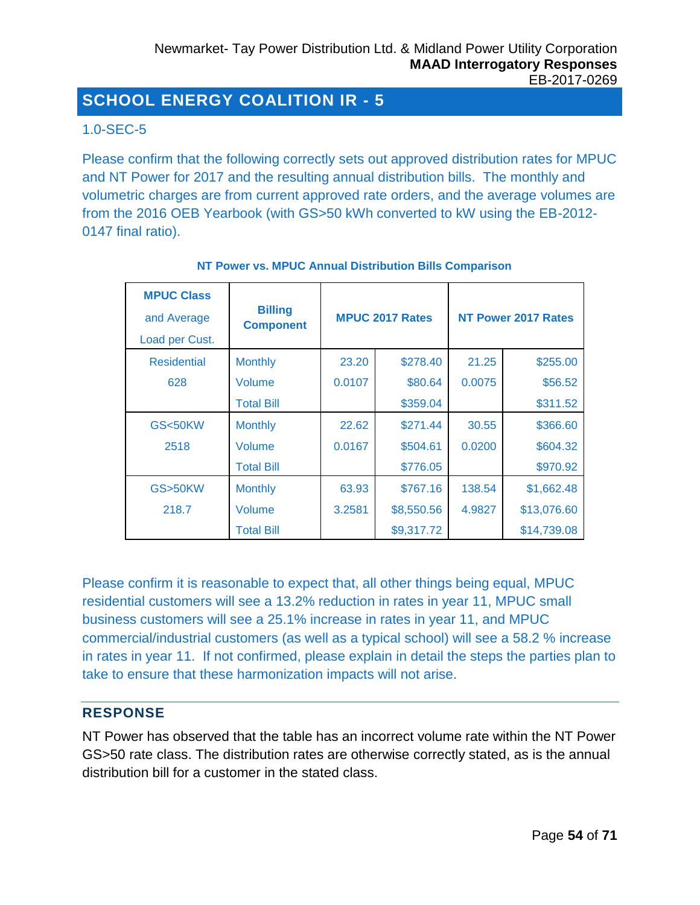## <span id="page-53-0"></span>1.0-SEC-5

Please confirm that the following correctly sets out approved distribution rates for MPUC and NT Power for 2017 and the resulting annual distribution bills. The monthly and volumetric charges are from current approved rate orders, and the average volumes are from the 2016 OEB Yearbook (with GS>50 kWh converted to kW using the EB-2012- 0147 final ratio).

| <b>MPUC Class</b><br>and Average<br>Load per Cust. | <b>Billing</b><br><b>Component</b> |        | <b>MPUC 2017 Rates</b> | <b>NT Power 2017 Rates</b> |             |  |
|----------------------------------------------------|------------------------------------|--------|------------------------|----------------------------|-------------|--|
| Residential                                        | <b>Monthly</b>                     | 23.20  | \$278.40               | 21.25                      | \$255.00    |  |
| 628                                                | Volume                             | 0.0107 | \$80.64                | 0.0075                     | \$56.52     |  |
|                                                    | <b>Total Bill</b>                  |        | \$359.04               |                            | \$311.52    |  |
| <b>GS&lt;50KW</b>                                  | <b>Monthly</b>                     | 22.62  | \$271.44               | 30.55                      | \$366.60    |  |
| 2518                                               | Volume                             | 0.0167 | \$504.61               | 0.0200                     | \$604.32    |  |
|                                                    | <b>Total Bill</b>                  |        | \$776.05               |                            | \$970.92    |  |
| GS>50KW                                            | <b>Monthly</b>                     | 63.93  | \$767.16               | 138.54                     | \$1,662.48  |  |
| 218.7                                              | Volume                             | 3.2581 | \$8,550.56             | 4.9827                     | \$13,076.60 |  |
|                                                    | <b>Total Bill</b>                  |        | \$9,317.72             |                            | \$14,739.08 |  |

#### **NT Power vs. MPUC Annual Distribution Bills Comparison**

Please confirm it is reasonable to expect that, all other things being equal, MPUC residential customers will see a 13.2% reduction in rates in year 11, MPUC small business customers will see a 25.1% increase in rates in year 11, and MPUC commercial/industrial customers (as well as a typical school) will see a 58.2 % increase in rates in year 11. If not confirmed, please explain in detail the steps the parties plan to take to ensure that these harmonization impacts will not arise.

#### **RESPONSE**

NT Power has observed that the table has an incorrect volume rate within the NT Power GS>50 rate class. The distribution rates are otherwise correctly stated, as is the annual distribution bill for a customer in the stated class.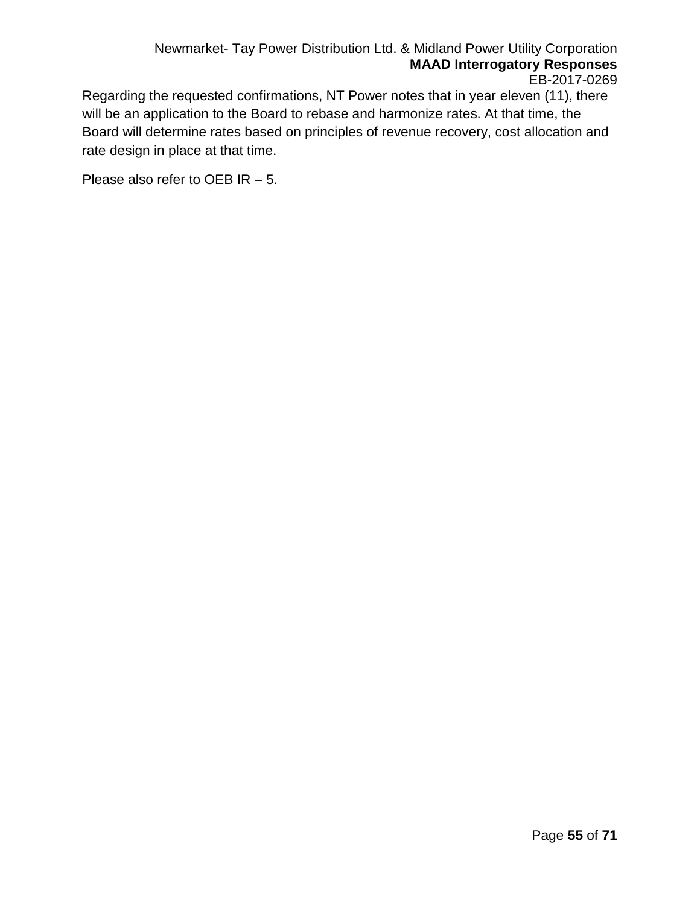Regarding the requested confirmations, NT Power notes that in year eleven (11), there will be an application to the Board to rebase and harmonize rates. At that time, the Board will determine rates based on principles of revenue recovery, cost allocation and rate design in place at that time.

Please also refer to OEB IR – 5.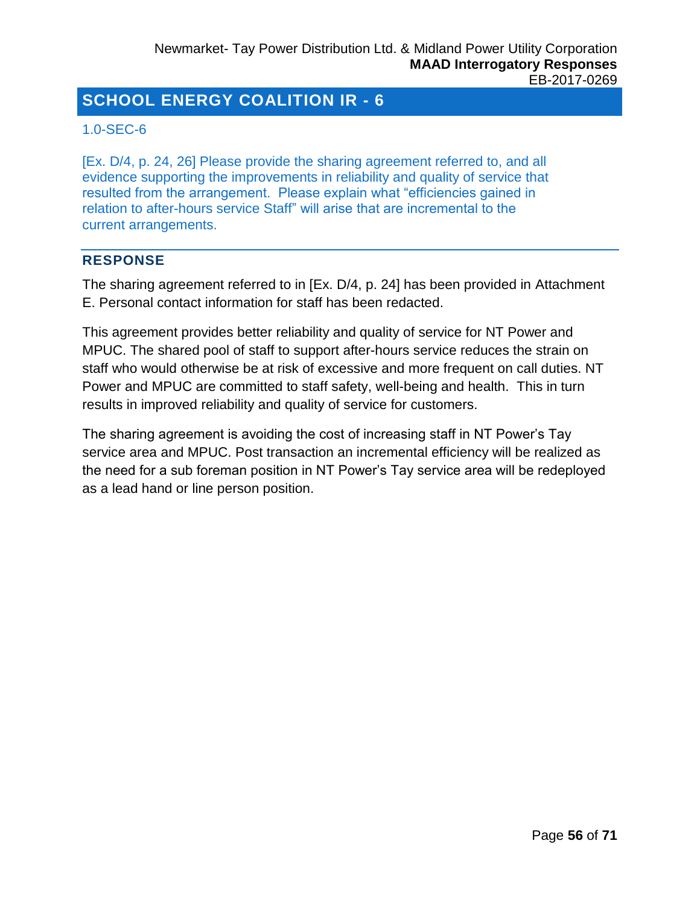## <span id="page-55-0"></span>1.0-SEC-6

[Ex. D/4, p. 24, 26] Please provide the sharing agreement referred to, and all evidence supporting the improvements in reliability and quality of service that resulted from the arrangement. Please explain what "efficiencies gained in relation to after-hours service Staff" will arise that are incremental to the current arrangements.

## **RESPONSE**

The sharing agreement referred to in [Ex. D/4, p. 24] has been provided in Attachment E. Personal contact information for staff has been redacted.

This agreement provides better reliability and quality of service for NT Power and MPUC. The shared pool of staff to support after-hours service reduces the strain on staff who would otherwise be at risk of excessive and more frequent on call duties. NT Power and MPUC are committed to staff safety, well-being and health. This in turn results in improved reliability and quality of service for customers.

The sharing agreement is avoiding the cost of increasing staff in NT Power's Tay service area and MPUC. Post transaction an incremental efficiency will be realized as the need for a sub foreman position in NT Power's Tay service area will be redeployed as a lead hand or line person position.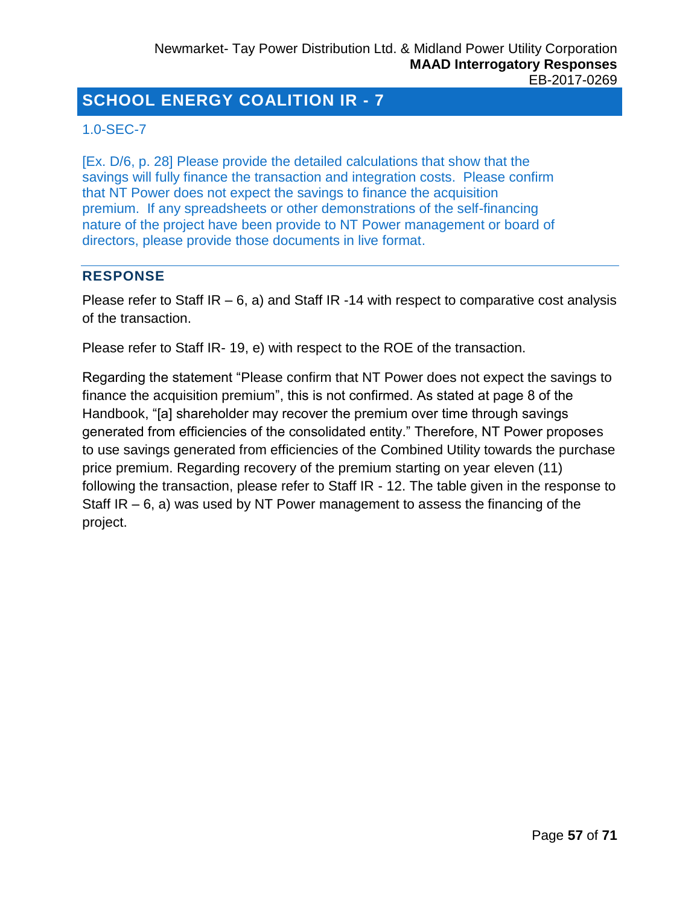## <span id="page-56-0"></span>1.0-SEC-7

[Ex. D/6, p. 28] Please provide the detailed calculations that show that the savings will fully finance the transaction and integration costs. Please confirm that NT Power does not expect the savings to finance the acquisition premium. If any spreadsheets or other demonstrations of the self-financing nature of the project have been provide to NT Power management or board of directors, please provide those documents in live format.

## **RESPONSE**

Please refer to Staff  $IR - 6$ , a) and Staff  $IR - 14$  with respect to comparative cost analysis of the transaction.

Please refer to Staff IR- 19, e) with respect to the ROE of the transaction.

Regarding the statement "Please confirm that NT Power does not expect the savings to finance the acquisition premium", this is not confirmed. As stated at page 8 of the Handbook, "[a] shareholder may recover the premium over time through savings generated from efficiencies of the consolidated entity." Therefore, NT Power proposes to use savings generated from efficiencies of the Combined Utility towards the purchase price premium. Regarding recovery of the premium starting on year eleven (11) following the transaction, please refer to Staff IR - 12. The table given in the response to Staff  $IR - 6$ , a) was used by NT Power management to assess the financing of the project.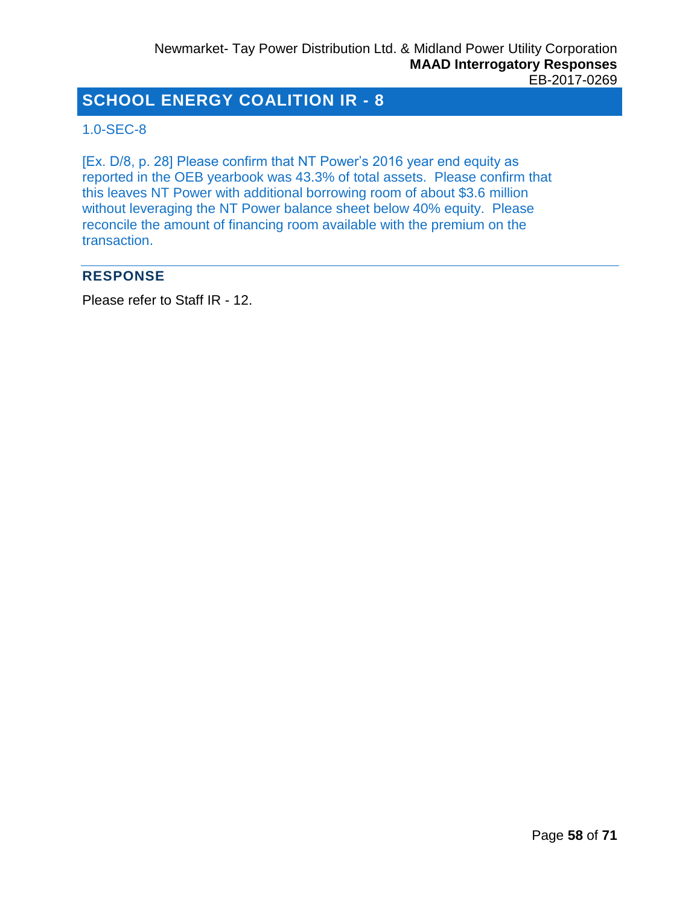## <span id="page-57-0"></span>1.0-SEC-8

[Ex. D/8, p. 28] Please confirm that NT Power's 2016 year end equity as reported in the OEB yearbook was 43.3% of total assets. Please confirm that this leaves NT Power with additional borrowing room of about \$3.6 million without leveraging the NT Power balance sheet below 40% equity. Please reconcile the amount of financing room available with the premium on the transaction.

## **RESPONSE**

Please refer to Staff IR - 12.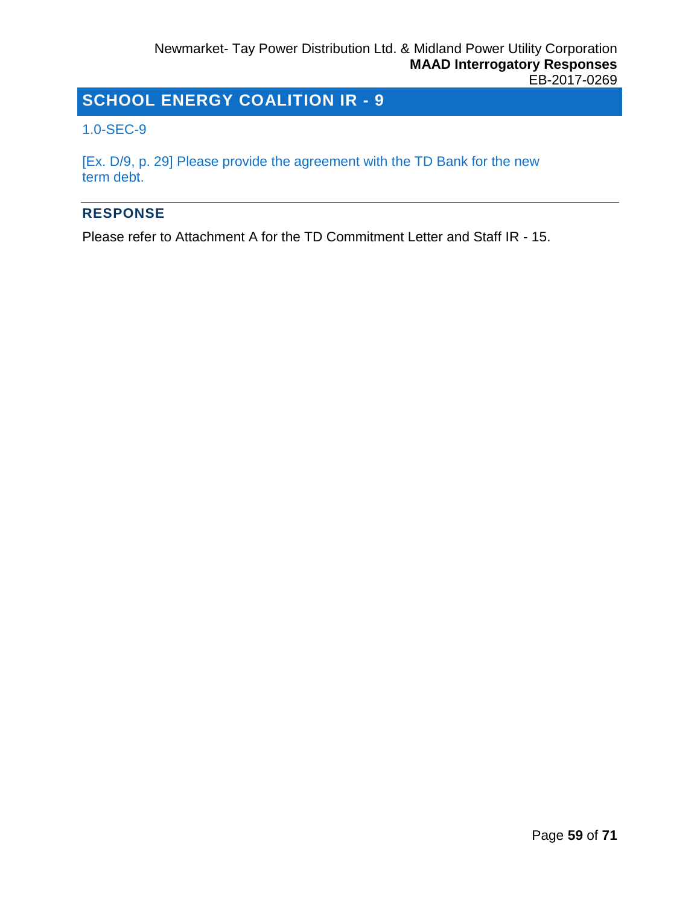#### <span id="page-58-0"></span>1.0-SEC-9

[Ex. D/9, p. 29] Please provide the agreement with the TD Bank for the new term debt.

#### **RESPONSE**

Please refer to Attachment A for the TD Commitment Letter and Staff IR - 15.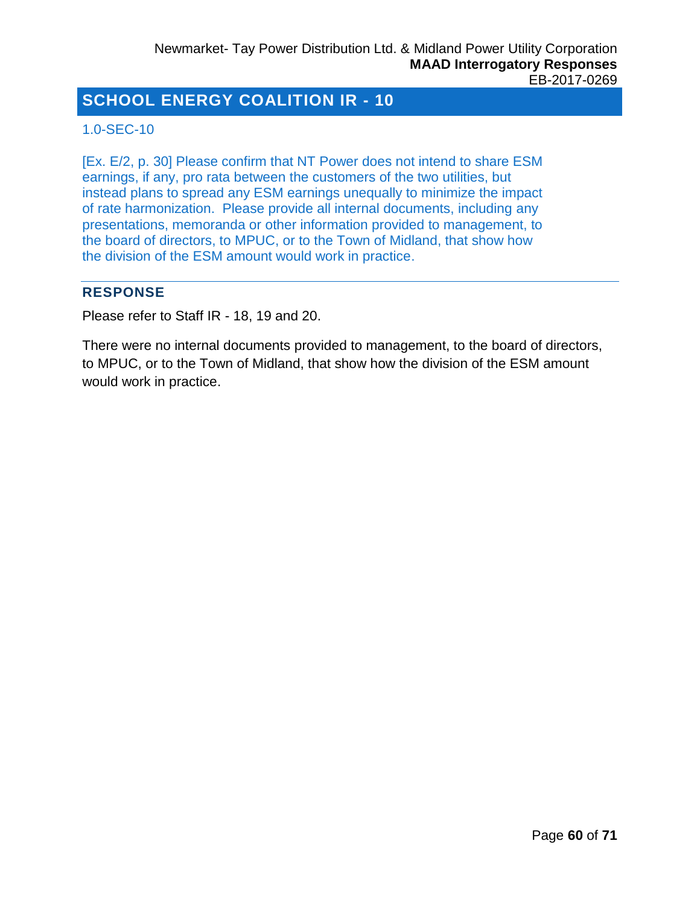## <span id="page-59-0"></span>1.0-SEC-10

[Ex. E/2, p. 30] Please confirm that NT Power does not intend to share ESM earnings, if any, pro rata between the customers of the two utilities, but instead plans to spread any ESM earnings unequally to minimize the impact of rate harmonization. Please provide all internal documents, including any presentations, memoranda or other information provided to management, to the board of directors, to MPUC, or to the Town of Midland, that show how the division of the ESM amount would work in practice.

## **RESPONSE**

Please refer to Staff IR - 18, 19 and 20.

There were no internal documents provided to management, to the board of directors, to MPUC, or to the Town of Midland, that show how the division of the ESM amount would work in practice.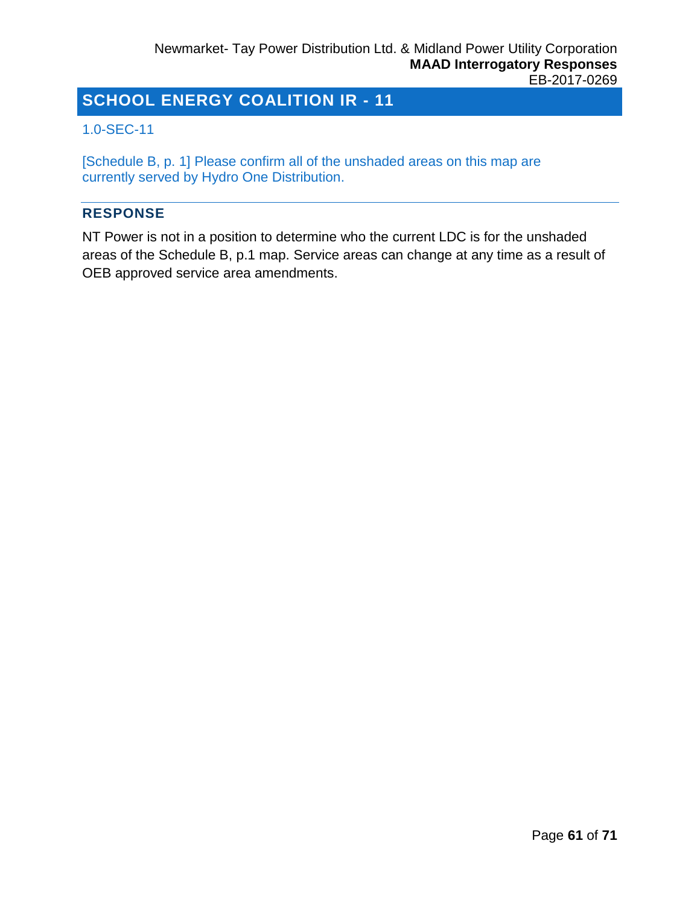## <span id="page-60-0"></span>1.0-SEC-11

[Schedule B, p. 1] Please confirm all of the unshaded areas on this map are currently served by Hydro One Distribution.

## **RESPONSE**

NT Power is not in a position to determine who the current LDC is for the unshaded areas of the Schedule B, p.1 map. Service areas can change at any time as a result of OEB approved service area amendments.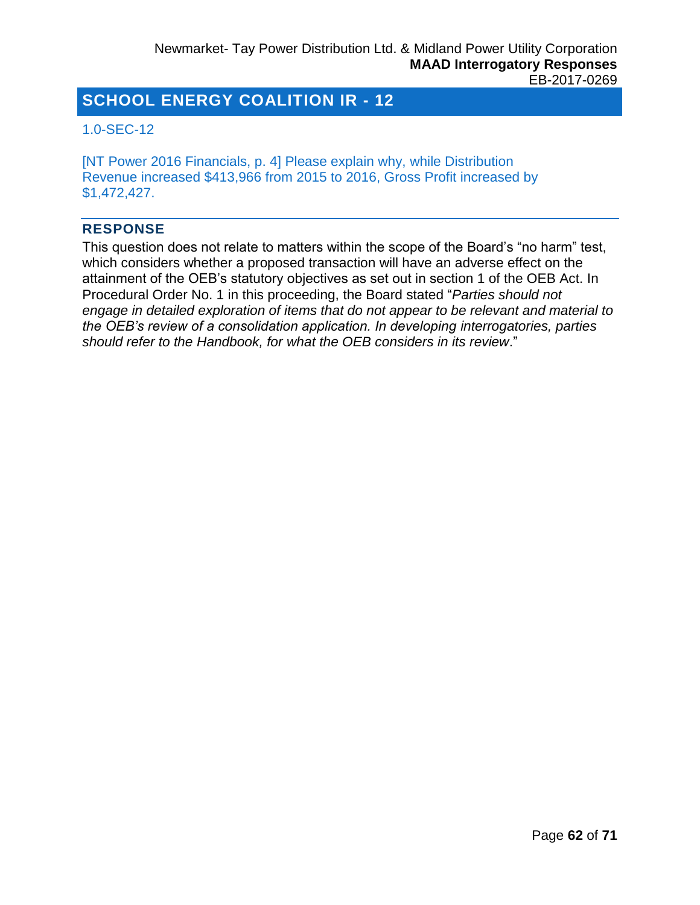## <span id="page-61-0"></span>1.0-SEC-12

[NT Power 2016 Financials, p. 4] Please explain why, while Distribution Revenue increased \$413,966 from 2015 to 2016, Gross Profit increased by \$1,472,427.

#### **RESPONSE**

This question does not relate to matters within the scope of the Board's "no harm" test, which considers whether a proposed transaction will have an adverse effect on the attainment of the OEB's statutory objectives as set out in section 1 of the OEB Act. In Procedural Order No. 1 in this proceeding, the Board stated "*Parties should not engage in detailed exploration of items that do not appear to be relevant and material to the OEB's review of a consolidation application. In developing interrogatories, parties should refer to the Handbook, for what the OEB considers in its review*."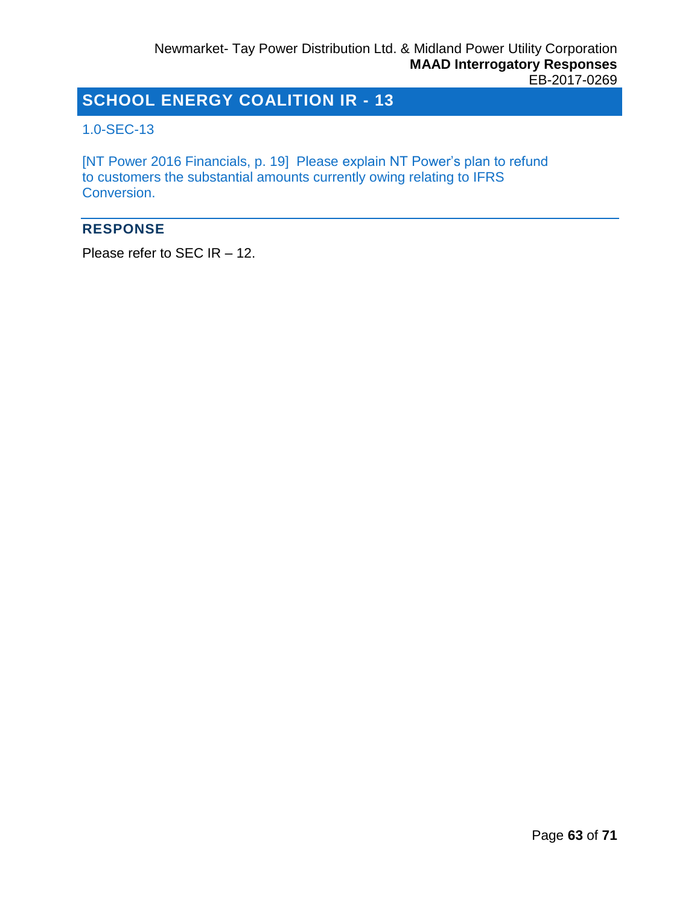## <span id="page-62-0"></span>1.0-SEC-13

[NT Power 2016 Financials, p. 19] Please explain NT Power's plan to refund to customers the substantial amounts currently owing relating to IFRS Conversion.

## **RESPONSE**

Please refer to SEC IR – 12.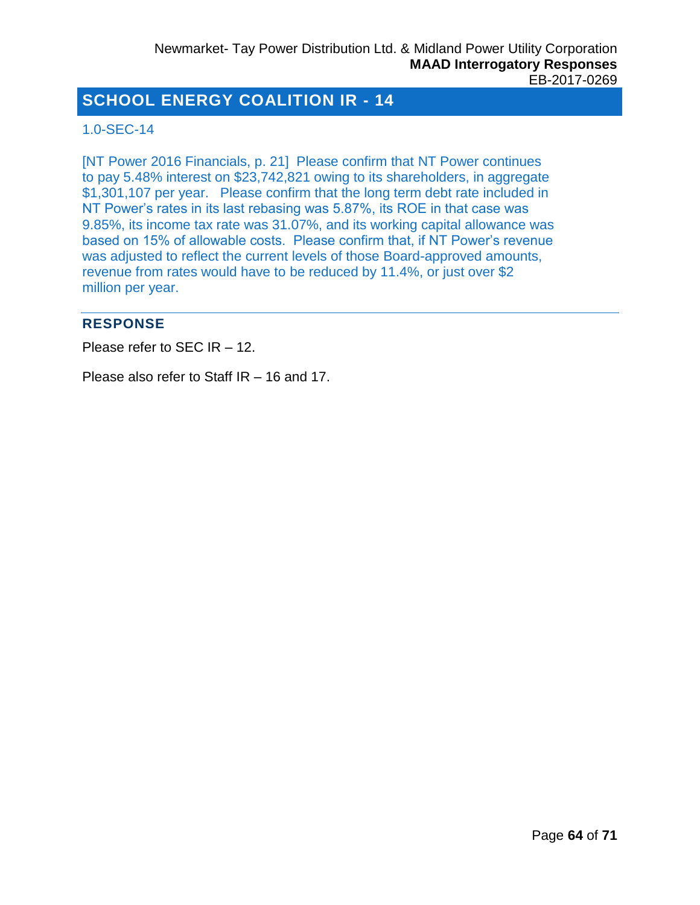### <span id="page-63-0"></span>1.0-SEC-14

[NT Power 2016 Financials, p. 21] Please confirm that NT Power continues to pay 5.48% interest on \$23,742,821 owing to its shareholders, in aggregate \$1,301,107 per year. Please confirm that the long term debt rate included in NT Power's rates in its last rebasing was 5.87%, its ROE in that case was 9.85%, its income tax rate was 31.07%, and its working capital allowance was based on 15% of allowable costs. Please confirm that, if NT Power's revenue was adjusted to reflect the current levels of those Board-approved amounts, revenue from rates would have to be reduced by 11.4%, or just over \$2 million per year.

#### **RESPONSE**

Please refer to SEC IR – 12.

Please also refer to Staff IR – 16 and 17.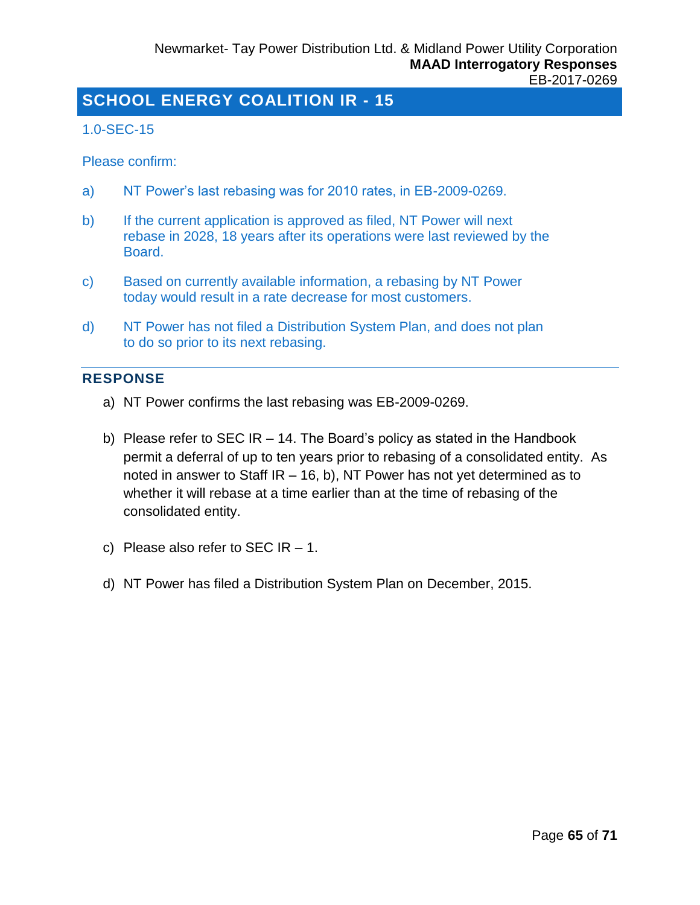#### <span id="page-64-0"></span>1.0-SEC-15

Please confirm:

- a) NT Power's last rebasing was for 2010 rates, in EB-2009-0269.
- b) If the current application is approved as filed, NT Power will next rebase in 2028, 18 years after its operations were last reviewed by the Board.
- c) Based on currently available information, a rebasing by NT Power today would result in a rate decrease for most customers.
- d) NT Power has not filed a Distribution System Plan, and does not plan to do so prior to its next rebasing.

#### **RESPONSE**

- a) NT Power confirms the last rebasing was EB-2009-0269.
- b) Please refer to SEC IR 14. The Board's policy as stated in the Handbook permit a deferral of up to ten years prior to rebasing of a consolidated entity. As noted in answer to Staff IR – 16, b), NT Power has not yet determined as to whether it will rebase at a time earlier than at the time of rebasing of the consolidated entity.
- c) Please also refer to SEC  $IR 1$ .
- d) NT Power has filed a Distribution System Plan on December, 2015.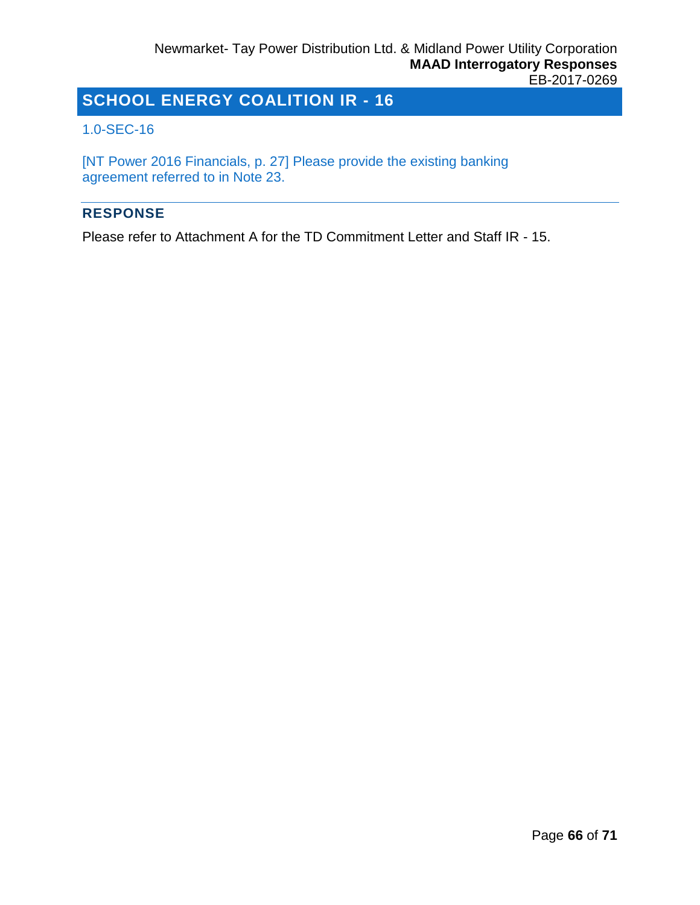#### <span id="page-65-0"></span>1.0-SEC-16

[NT Power 2016 Financials, p. 27] Please provide the existing banking agreement referred to in Note 23.

#### **RESPONSE**

Please refer to Attachment A for the TD Commitment Letter and Staff IR - 15.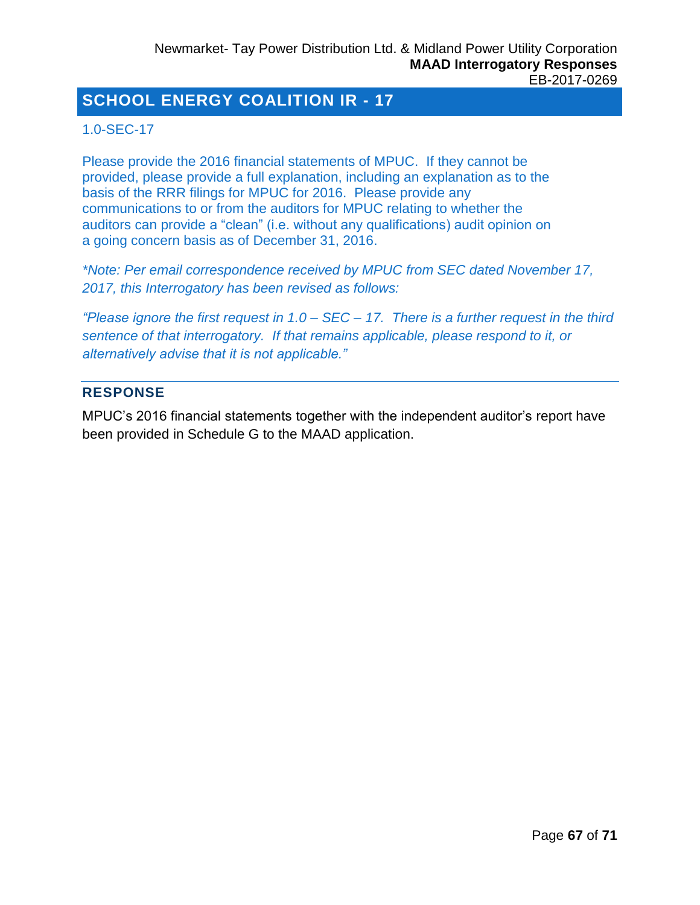## <span id="page-66-0"></span>1.0-SEC-17

Please provide the 2016 financial statements of MPUC. If they cannot be provided, please provide a full explanation, including an explanation as to the basis of the RRR filings for MPUC for 2016. Please provide any communications to or from the auditors for MPUC relating to whether the auditors can provide a "clean" (i.e. without any qualifications) audit opinion on a going concern basis as of December 31, 2016.

*\*Note: Per email correspondence received by MPUC from SEC dated November 17, 2017, this Interrogatory has been revised as follows:*

*"Please ignore the first request in 1.0 – SEC – 17. There is a further request in the third sentence of that interrogatory. If that remains applicable, please respond to it, or alternatively advise that it is not applicable."*

## **RESPONSE**

MPUC's 2016 financial statements together with the independent auditor's report have been provided in Schedule G to the MAAD application.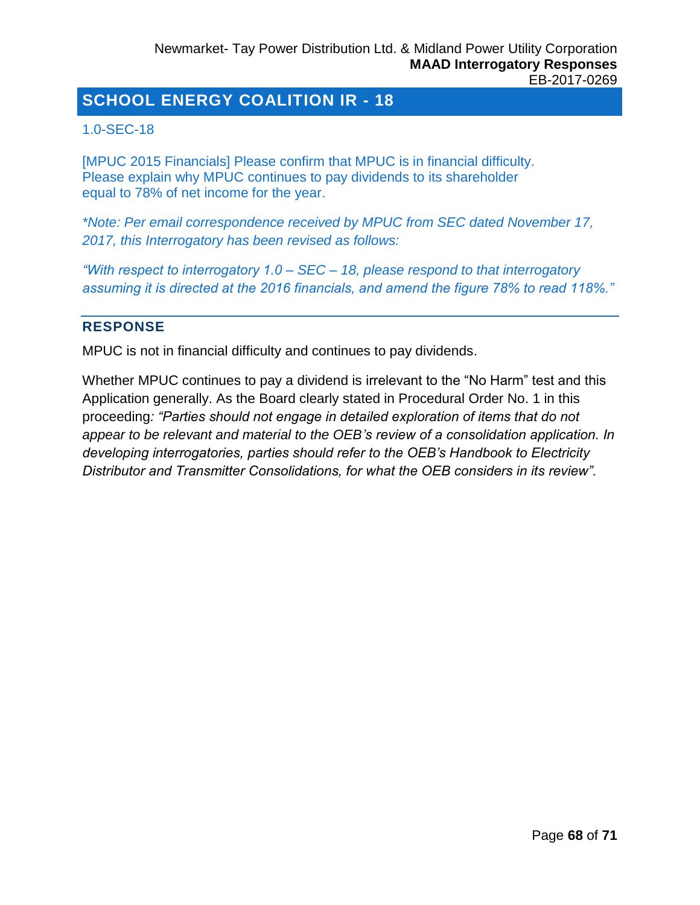## <span id="page-67-0"></span>1.0-SEC-18

[MPUC 2015 Financials] Please confirm that MPUC is in financial difficulty. Please explain why MPUC continues to pay dividends to its shareholder equal to 78% of net income for the year.

*\*Note: Per email correspondence received by MPUC from SEC dated November 17, 2017, this Interrogatory has been revised as follows:*

*"With respect to interrogatory 1.0 – SEC – 18, please respond to that interrogatory assuming it is directed at the 2016 financials, and amend the figure 78% to read 118%."*

## **RESPONSE**

MPUC is not in financial difficulty and continues to pay dividends.

Whether MPUC continues to pay a dividend is irrelevant to the "No Harm" test and this Application generally. As the Board clearly stated in Procedural Order No. 1 in this proceeding*: "Parties should not engage in detailed exploration of items that do not appear to be relevant and material to the OEB's review of a consolidation application. In developing interrogatories, parties should refer to the OEB's Handbook to Electricity Distributor and Transmitter Consolidations, for what the OEB considers in its review".*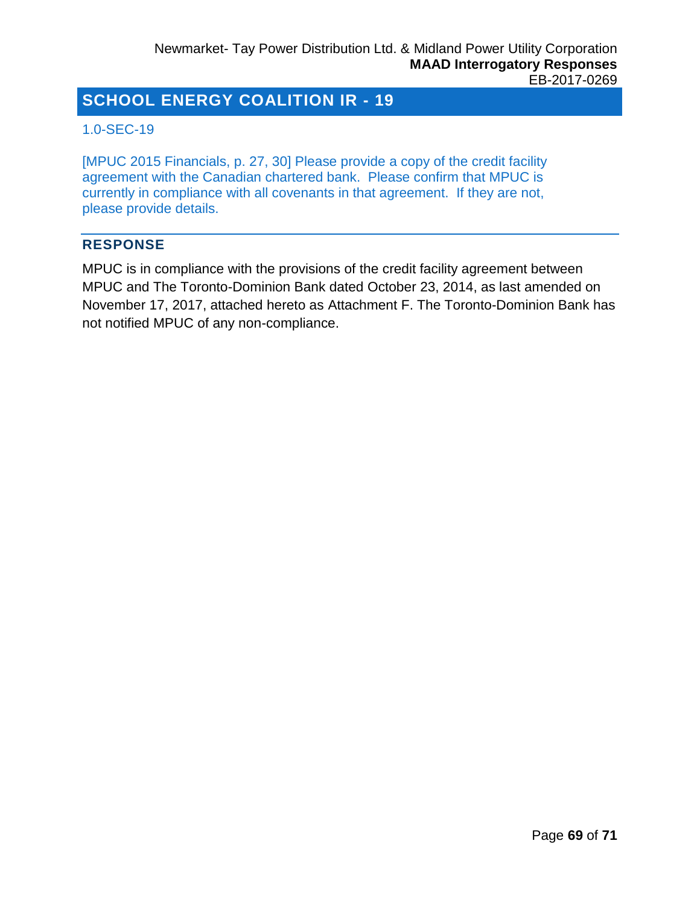## <span id="page-68-0"></span>1.0-SEC-19

[MPUC 2015 Financials, p. 27, 30] Please provide a copy of the credit facility agreement with the Canadian chartered bank. Please confirm that MPUC is currently in compliance with all covenants in that agreement. If they are not, please provide details.

#### **RESPONSE**

MPUC is in compliance with the provisions of the credit facility agreement between MPUC and The Toronto-Dominion Bank dated October 23, 2014, as last amended on November 17, 2017, attached hereto as Attachment F. The Toronto-Dominion Bank has not notified MPUC of any non-compliance.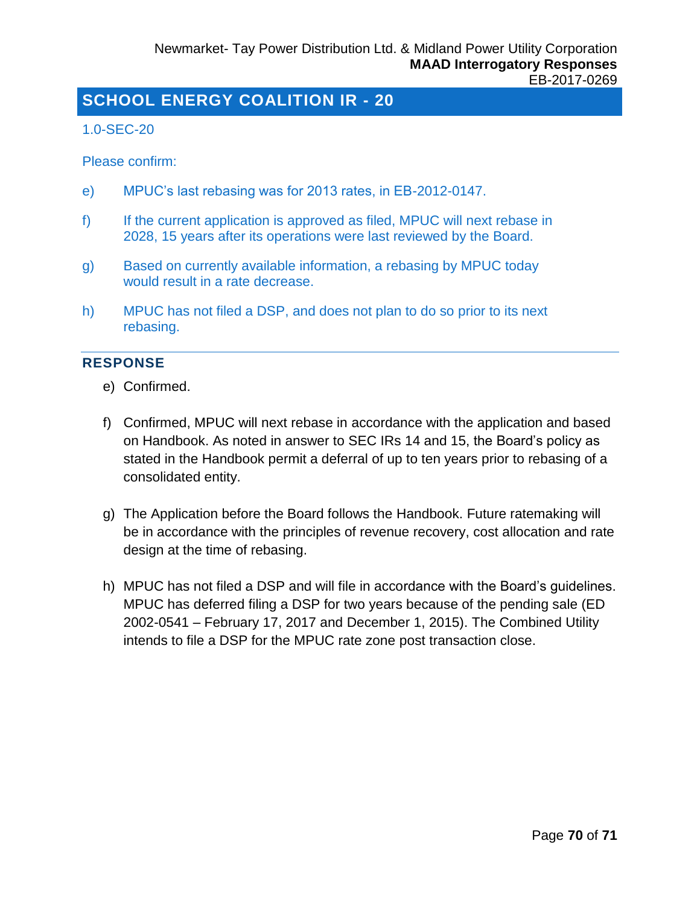#### <span id="page-69-0"></span>1.0-SEC-20

Please confirm:

- e) MPUC's last rebasing was for 2013 rates, in EB-2012-0147.
- f) If the current application is approved as filed, MPUC will next rebase in 2028, 15 years after its operations were last reviewed by the Board.
- g) Based on currently available information, a rebasing by MPUC today would result in a rate decrease.
- h) MPUC has not filed a DSP, and does not plan to do so prior to its next rebasing.

#### **RESPONSE**

- e) Confirmed.
- f) Confirmed, MPUC will next rebase in accordance with the application and based on Handbook. As noted in answer to SEC IRs 14 and 15, the Board's policy as stated in the Handbook permit a deferral of up to ten years prior to rebasing of a consolidated entity.
- g) The Application before the Board follows the Handbook. Future ratemaking will be in accordance with the principles of revenue recovery, cost allocation and rate design at the time of rebasing.
- h) MPUC has not filed a DSP and will file in accordance with the Board's guidelines. MPUC has deferred filing a DSP for two years because of the pending sale (ED 2002-0541 – February 17, 2017 and December 1, 2015). The Combined Utility intends to file a DSP for the MPUC rate zone post transaction close.